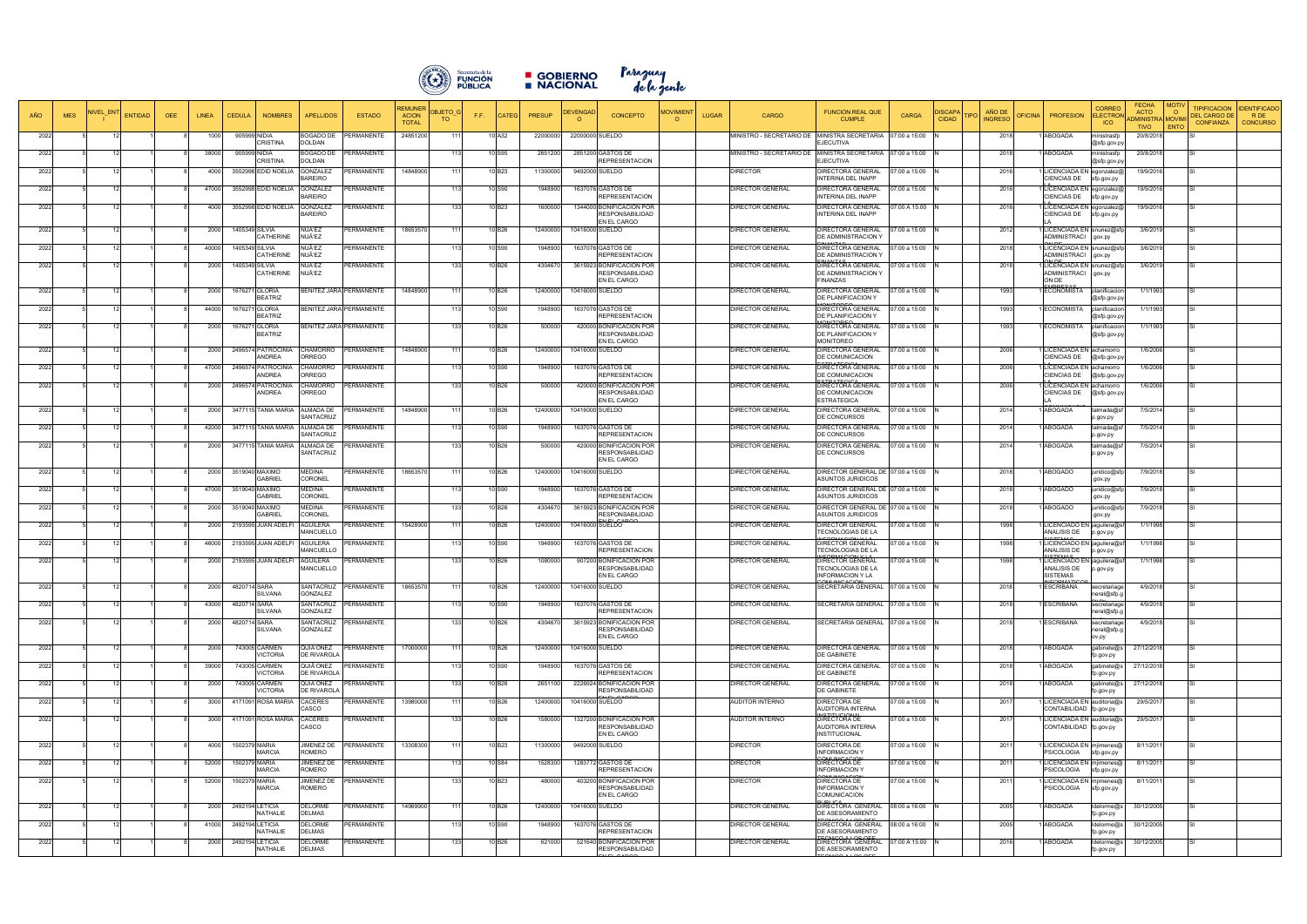

■ GOBIERNO Paraguay<br>■ NACIONAL dela gente

| AÑO<br><b>MES</b> | <b>NIVEL ENT</b><br><b>ENTIDAD</b> | <b>OEE</b> | LINEA          | <b>CEDULA</b>  | <b>NOMBRES</b>                           | <b>APELLIDOS</b>                                | <b>ESTADO</b>                         | REMUNEF<br><b>DBJETO</b><br><b>ACION</b><br>TO.<br><b>TOTAL</b> | F.F. | <b>CATEG</b>       | <b>PRESUP</b>       | <b>DEVENGAD</b><br>$\Omega$ | <b>CONCEPTO</b>                                                       | <b>JOVIMIENT</b><br><b>LUGAR</b> | <b>CARGO</b>                                                | <b>FUNCION REAL QUE</b><br><b>CUMPLE</b>                                        | CARGA                         | <b>ISCAPA</b><br><b>IPO</b><br><b>CIDAD</b> | AÑO DE<br><b>INGRESO</b> | <b>PROFESION</b><br><b>DFICINA</b>                                              | <b>CORRED</b><br><b>ELECTRO</b><br><b>ICO</b> | <b>FECHA</b><br><b>ACTO</b><br><b>IDMINISTRA MOVIM</b> | <b>TIPIFICACION</b><br>$\circ$<br><b>DEL CARGO DE</b><br><b>CONFIANZA</b> | <b>DENTIFICADO</b><br>R DE<br><b>CONCURSO</b> |
|-------------------|------------------------------------|------------|----------------|----------------|------------------------------------------|-------------------------------------------------|---------------------------------------|-----------------------------------------------------------------|------|--------------------|---------------------|-----------------------------|-----------------------------------------------------------------------|----------------------------------|-------------------------------------------------------------|---------------------------------------------------------------------------------|-------------------------------|---------------------------------------------|--------------------------|---------------------------------------------------------------------------------|-----------------------------------------------|--------------------------------------------------------|---------------------------------------------------------------------------|-----------------------------------------------|
| 2022              |                                    |            | 1000           |                | 905999 NIDIA<br><b>CRISTINA</b>          | 30GADO DE<br><b>DOLDAN</b>                      | PERMANENTE                            | 24851200<br>111                                                 |      | 10 A32             | 22000000            | 22000000 SUELDO             |                                                                       |                                  | MINISTRO - SECRETARIO DE MINISTRA SECRETARIA                | :JECUTIVA                                                                       | 07:00 a 15:00                 |                                             | 2018                     | <b>ABOGADA</b>                                                                  | ministrasfp<br>@sfp.gov.p                     | <b>TIVO</b><br>20/8/2018                               | ENTO                                                                      |                                               |
| 2022              |                                    |            | 38000          |                | 905999 NIDIA<br><b>CRISTINA</b>          | 30GADO DE<br>DOLDAN                             | <b>ERMANENTE</b>                      | 113                                                             |      | 10 S95             | 2851200             |                             | 2851200 GASTOS DE<br><b>REPRESENTACION</b>                            |                                  | MINISTRO - SECRETARIO DE MINISTRA SECRETARIA 107:00 a 15:00 | EJECUTIVA                                                                       |                               |                                             | 2018                     | ABOGADA                                                                         | ministrasfp<br>@sfp.gov.p                     | 20/8/2018                                              |                                                                           |                                               |
| 2022              |                                    |            | 4000           |                | 3552998 EDID NOELIA                      | <b>GONZALEZ</b><br><b>BAREIRO</b>               | <b>ERMANENTE</b>                      | 14848900<br>111                                                 |      | 10 B23             | 11300000            |                             | 9492000 SUELDO                                                        |                                  | <b>DIRECTOR</b>                                             | DIRECTORA GENERAL<br>INTERINA DEL INAPP                                         | 07:00 a 15:00                 |                                             | 2016                     | LICENCIADA EN egonzalez<br>CIENCIAS DE                                          | sfp.gov.py                                    | 19/9/2016                                              |                                                                           |                                               |
| 2022              |                                    |            | 47000          |                | 3552998 EDID NOELIA                      | GONZALEZ<br>BAREIRO                             | <b>ERMANENTE</b>                      | 113                                                             |      | 10 S90             | 1948900             |                             | 1637076 GASTOS DE<br><b>REPRESENTACION</b>                            |                                  | DIRECTOR GENERAL                                            | DIRECTORA GENERAL<br>INTERINA DEL INAPP                                         | 7:00 a 15:00                  |                                             | 2016                     | ICENCIADA EN egonzalez@<br>CIENCIAS DE                                          | sfp.gov.py                                    | 19/9/2016                                              |                                                                           |                                               |
| 2022              |                                    |            | 4000           |                | 3552998 EDID NOELIA                      | GONZALEZ<br><b>BAREIRO</b>                      | <b>ERMANENTE</b>                      | 133                                                             |      | 10 B <sub>23</sub> | 1600000             |                             | 1344000 BONIFICACION POR<br><b>RESPONSABILIDAD</b><br>EN EL CARGO     |                                  | <b>DIRECTOR GENERAL</b>                                     | DIRECTORA GENERAL<br>INTERINA DEL INAPP                                         | 7:00 A 15:00                  |                                             | 2016                     | LICENCIADA EN egonzalez@<br>CIENCIAS DE                                         | sfp.gov.py                                    | 19/9/2016                                              |                                                                           |                                               |
| 2022              |                                    |            | 2000           |                | 1405349 SILVIA<br>CATHERINE              | NUÑEZ<br>NUÑEZ                                  | <b>ERMANENTE</b>                      | 18653570                                                        |      | 10 B26             | 12400000            | 10416000 SUELDO             |                                                                       |                                  | <b>DIRECTOR GENERAL</b>                                     | DIRECTORA GENERAL<br>DE ADMINISTRACION Y                                        | 7:00 a 15:00                  |                                             | 2012                     | LICENCIADA EN snunez@sfp<br>ADMINISTRACI .gov.py                                |                                               | 3/6/2019                                               |                                                                           |                                               |
| 2022              |                                    |            | 40000          |                | 1405349 SILVIA<br>CATHERINE              | NUÑEZ<br>NUÑEZ                                  | <b>ERMANENTE</b>                      |                                                                 |      | 10 S90             | 1948900             |                             | 1637076 GASTOS DE<br><b>REPRESENTACION</b>                            |                                  | DIRECTOR GENERAL                                            | DIRECTORA GENERAL<br>DE ADMINISTRACION Y                                        | 7:00 a 15:00                  |                                             | 2018                     | LICENCIADA EN snunez@sfp<br>ADMINISTRACI                                        | .gov.py                                       | 3/6/2019                                               |                                                                           |                                               |
| 2022              |                                    |            | 2000           | 1405349 SILVIA | CATHERINE                                | NUÑEZ<br>NUÑEZ                                  | PERMANENTE                            | 133                                                             |      | 10 B26             | 4304670             |                             | 3615923 BONIFICACION POR<br><b>RESPONSABILIDAD</b><br>EN EL CARGO     |                                  | <b>DIRECTOR GENERAL</b>                                     | DIRECTORA GENERAL<br>DE ADMINISTRACION Y<br><b>FINANZAS</b>                     | 7:00 a 15:00                  |                                             | 2018                     | LICENCIADA EN snunez@sfp<br>ADMINISTRACI .gov.py<br>ON DE                       |                                               | 3/6/2019                                               |                                                                           |                                               |
| 2022              |                                    |            | 2000           |                | 1676271 GLORIA<br><b>BEATRIZ</b>         |                                                 | ENITEZ JARA PERMANENTE                | 14848900<br>111                                                 |      | 10 B <sub>26</sub> | 12400000            | 10416000 SUELDO             |                                                                       |                                  | <b>DIRECTOR GENERAL</b>                                     | DIRECTORA GENERAL<br>DE PLANIFICACION Y                                         | 7:00 a 15:00                  |                                             | 1993                     | ECONOMISTA                                                                      | planificacior<br>@sfp.gov.p                   | 1/1/1993                                               |                                                                           |                                               |
| 2022              |                                    |            | 44000          |                | 1676271 GLORIA<br><b>BEATRIZ</b>         |                                                 | BENITEZ JARA PERMANENTE               |                                                                 |      | 10 S90             | 1948900             |                             | 1637076 GASTOS DE<br><b>REPRESENTACION</b>                            |                                  | DIRECTOR GENERAL                                            | $\triangle$ ut $\triangle$ ne<br>DIRECTORA GENERAL<br>DE PLANIFICACION Y        | 7:00 a 15:00                  |                                             | 1993                     | ECONOMISTA                                                                      | planificacior<br>@sfp.gov.p                   | 1/1/1993                                               |                                                                           |                                               |
| 2022              |                                    |            | 2000           |                | 1676271 GLORIA<br><b>BEATRIZ</b>         |                                                 | BENITEZ JARA PERMANENTE               | 133                                                             |      | 10 B <sub>26</sub> | 500000              |                             | 420000 BONIFICACION POR<br><b>RESPONSABILIDAD</b><br>EN EL CARGO      |                                  | <b>DIRECTOR GENERAL</b>                                     | DIRECTORA GENERAL<br>DE PLANIFICACION Y<br><b>MONITOREO</b>                     | 07:00 a 15:00                 |                                             | 1993                     | ECONOMISTA                                                                      | planificacior<br>@sfp.gov.p                   | 1/1/1993                                               |                                                                           |                                               |
| 2022              |                                    |            | 2000           |                | 2496574 PATROCINIA<br><b>NDREA</b>       | CHAMORRO<br><b>DRREGO</b>                       | <b>ERMANENTE</b>                      | 14848900<br>111                                                 |      | 10 B <sub>26</sub> | 12400000            |                             | 10416000 SUELDO                                                       |                                  | DIRECTOR GENERAL                                            | <b>DIRECTORA GENERAL</b><br>DE COMUNICACION                                     | 07:00 a 15:00                 |                                             | 2006                     | ICENCIADA EN achamorro<br><b>IENCIAS DE</b>                                     | @sfp.gov.p                                    | 1/6/2006                                               |                                                                           |                                               |
| 2022              |                                    |            | 47000          |                | 2496574 PATROCINIA<br>ANDREA             | CHAMORRO<br><b>RREGO</b>                        | PERMANENTE                            | 113                                                             |      | 10 S90             | 1948900             |                             | 1637076 GASTOS DE<br><b>REPRESENTACION</b>                            |                                  | DIRECTOR GENERAL                                            | DIRECTORA GENERAL<br>DE COMUNICACION                                            | 7:00 a 15:00                  |                                             | 2006                     | LICENCIADA EN achamorro<br><b>CIENCIAS DE</b>                                   | @sfp.gov.p                                    | 1/6/2006                                               |                                                                           |                                               |
| 2022              |                                    |            | 2000           |                | 2496574 PATROCINIA<br>ANDREA             | CHAMORRO<br><b>RREGO</b>                        | PERMANENTE                            | 133                                                             |      | 10 B26             | 500000              |                             | 420000 BONIFICACION POR<br><b>RESPONSABILIDAD</b><br>EN EL CARGO      |                                  | <b>DIRECTOR GENERAL</b>                                     | <b>CTDATEQIOA</b><br>DIRECTORA GENERAL<br>DE COMUNICACION<br><b>ESTRATEGICA</b> | 07:00 a 15:00                 |                                             | 2006                     | ICENCIADA EN achamorro<br><b>IENCIAS DE</b>                                     | @sfp.gov.p                                    | 1/6/2006                                               |                                                                           |                                               |
| 2022              |                                    |            | 2000           |                | 3477115 TANIA MARIA                      | <b>ALMADA DE</b><br>SANTACRUZ                   | ERMANENTE                             | 14848900<br>111                                                 |      | 10 B26             | 12400000            | 10416000 SUELDO             |                                                                       |                                  | DIRECTOR GENERAL                                            | DIRECTORA GENERAL<br>DE CONCURSOS                                               | 07:00 a 15:00                 |                                             | 2014                     | ABOGADA                                                                         | talmada@s<br>o.gov.py                         | 7/5/2014                                               |                                                                           |                                               |
| 2022              |                                    |            | 42000          |                | 3477115 TANIA MARIA                      | <b>ALMADA DE</b><br>SANTACRUZ                   | ERMANENTE                             | 113                                                             |      | 10 S90             | 1948900             |                             | 1637076 GASTOS DE<br><b>REPRESENTACION</b>                            |                                  | DIRECTOR GENERAL                                            | DIRECTORA GENERAL<br>DE CONCURSOS                                               | 07:00 a 15:00                 |                                             | 2014                     | ABOGADA                                                                         | talmada@<br>p.gov.py                          | 7/5/2014                                               |                                                                           |                                               |
| 2022              |                                    |            | 2000           |                | 3477115 TANIA MARIA                      | ALMADA DE<br>SANTACRUZ                          | <b>RMANENTE:</b>                      |                                                                 |      | 10 B <sub>26</sub> | 500000              |                             | 420000 BONIFICACION POR<br><b>RESPONSABILIDAD</b><br>EN EL CARGO      |                                  | DIRECTOR GENERAL                                            | DIRECTORA GENERAL<br>DE CONCURSOS                                               | 07:00 a 15:00                 |                                             | 2014                     | ABOGADA                                                                         | talmada@s<br>p.gov.py                         | 7/5/2014                                               |                                                                           |                                               |
| 2022              |                                    |            | 2000           |                | 3519040 MAXIMO<br><b>GABRIEI</b>         | MEDINA<br>CORONEL                               | PERMANENTE                            | 18653570<br>111                                                 |      | 10 B26             | 12400000            | 10416000 SUELDO             |                                                                       |                                  | <b>DIRECTOR GENERAL</b>                                     | DIRECTOR GENERAL DE 07:00 a 15:00<br>ASUNTOS JURIDICOS                          |                               |                                             | 2018                     | ABOGADO                                                                         | juridico@sf<br>.gov.py                        | 7/9/2018                                               |                                                                           |                                               |
| 2022              |                                    |            | 47000          |                | 3519040 MAXIMO<br>GABRIEI                | MEDINA<br>CORONEL                               | PERMANENTE                            | 113                                                             |      | 10 S90             | 1948900             |                             | 1637076 GASTOS DE<br><b>REPRESENTACION</b>                            |                                  | <b>DIRECTOR GENERAL</b>                                     | DIRECTOR GENERAL DE<br><b>ASUNTOS JURIDICOS</b>                                 | 07:00 a 15:00                 |                                             | 2018                     | <b>ABOGADO</b>                                                                  | juridico@sf<br>.gov.py                        | 7/9/2018                                               |                                                                           |                                               |
| 2022              |                                    |            | 2000           |                | 3519040 MAXIMO<br>GABRIEL                | MEDINA<br>CORONEL                               | <b>PERMANENTE</b>                     | 133                                                             |      | 10 B26             | 4304670             |                             | 3615923 BONIFICACION POR<br><b>RESPONSABILIDAD</b>                    |                                  | DIRECTOR GENERAL                                            | DIRECTOR GENERAL DE<br>ASUNTOS JURIDICOS                                        | 07:00 a 15:00                 |                                             | 2018                     | ABOGADO                                                                         | juridico@s<br>.gov.py                         | 7/9/2018                                               |                                                                           |                                               |
| 2022              |                                    |            | 2000           |                | 2193595 JUAN ADELFI                      | AGUILERA<br><b>MANCUELLO</b>                    | <b>ERMANENTE</b>                      | 15428900<br>111                                                 |      | 10 B26             | 12400000            | 10416000 SUELDO             |                                                                       |                                  | <b>DIRECTOR GENERAL</b>                                     | DIRECTOR GENERAL<br><b>TECNOLOGIAS DE LA</b>                                    | 07:00 a 15:00                 |                                             | 1998                     | LICENCIADO EN jaguilera@s<br>ANALISIS DE                                        | p.gov.py                                      | 1/1/1998                                               |                                                                           |                                               |
| 2022              |                                    |            | 46000          |                | 2193595 JUAN ADELF                       | <b>AGUILERA</b><br><b>MANCUELLO</b>             | <b>ERMANENTE</b>                      | 113                                                             |      | 10 S90             | 1948900             |                             | 1637076 GASTOS DE<br><b>REPRESENTACION</b>                            |                                  | <b>DIRECTOR GENERAL</b>                                     | DIRECTOR GENERAL<br><b>TECNOLOGIAS DE LA</b>                                    | 7:00 a 15:00                  |                                             | 1998                     | LICENCIADO EN jaguilera@sf<br>ANALISIS DE                                       | p.gov.py                                      | 1/1/1998                                               |                                                                           |                                               |
| 2022              |                                    |            | 2000           |                | 2193595 JUAN ADELFI                      | AGUILERA<br>MANCUELLO                           | <b>ERMANENTE</b>                      | 133                                                             |      | 10 B <sub>26</sub> | 1080000             |                             | 907200 BONIFICACION POR<br><b>RESPONSABILIDAD</b><br>EN EL CARGO      |                                  | <b>DIRECTOR GENERAL</b>                                     | DIRECTOR GENERAL<br>TECNOLOGIAS DE LA<br><b>INFORMACION Y LA</b>                | 7:00 a 15:00                  |                                             | 1998                     | LICENCIADO EN jaguilera@s<br>ANALISIS DE<br><b>SISTEMAS</b>                     | p.gov.py                                      | 1/1/1998                                               |                                                                           |                                               |
| 2022              |                                    |            | 2000           | 4820714 SARA   | <b>SILVANA</b>                           | SANTACRUZ<br>GONZALEZ                           | PERMANENTE                            | 18653570                                                        | 1111 | 10 B26             | 12400000            | 10416000 SUELDO             |                                                                       |                                  | <b>DIRECTOR GENERAL</b>                                     | SECRETARIA GENERAL 07:00 a 15:00                                                |                               |                                             | 2018                     | <b>ESCRIBANA</b>                                                                | secretariage<br>neral@sfp.g                   | 4/9/2018                                               |                                                                           |                                               |
| 2022              |                                    |            | 43000          | 4820714 SARA   | <b>SILVANA</b>                           | SANTACRUZ<br>GONZALEZ                           | <b>PERMANENTE</b>                     | 113                                                             |      | 10 S90             | 1948900             |                             | 1637076 GASTOS DE<br><b>REPRESENTACION</b>                            |                                  | <b>DIRECTOR GENERAL</b>                                     | SECRETARIA GENERAL 07:00 a 15:00                                                |                               |                                             | 2018                     | ESCRIBANA                                                                       | secretariage<br>neral@sfp.g                   | 4/9/2018                                               |                                                                           |                                               |
| 2022              |                                    |            | 2000           | 4820714 SARA   | SILVANA                                  | SANTACRUZ<br>GONZALEZ                           | <b>PERMANENTE</b>                     | 133                                                             |      | 10 B26             | 4304670             |                             | 3615923 BONIFICACION POR<br><b>RESPONSABILIDAD</b><br>EN EL CARGO     |                                  | <b>DIRECTOR GENERAL</b>                                     | SECRETARIA GENERAL 07:00 a 15:00                                                |                               |                                             | 2018                     | <b>ESCRIBANA</b>                                                                | secretariage<br>neral@sfp.o<br>ov.py          | 4/9/2018                                               |                                                                           |                                               |
| 2022              |                                    |            | 2000           |                | 743005 CARMEN<br><b>VICTORIA</b>         | QUIÑONEZ<br>DE RIVAROLA                         | <b>ERMANENTE</b>                      | 17000000<br>111                                                 |      | 10 B26             | 12400000            | 10416000 SUELDO             |                                                                       |                                  | <b>DIRECTOR GENERAL</b>                                     | DIRECTORA GENERAL<br>DE GABINETE                                                | 07:00 a 15:00                 |                                             | 2018                     | ABOGADA                                                                         | gabinete@s<br>p.gov.py                        | 27/12/2018                                             |                                                                           |                                               |
| 2022              |                                    |            | 39000          |                | 743005 CARMEN<br>/ICTORIA                | QUIÑONEZ<br>DE RIVAROLA                         | ERMANENTE                             |                                                                 |      | 10 S90             | 1948900             |                             | 1637076 GASTOS DE<br><b>REPRESENTACION</b>                            |                                  | <b>DIRECTOR GENERAL</b>                                     | DIRECTORA GENERAL<br>DE GABINETE                                                | 07:00 a 15:00                 |                                             | 2018                     | ABOGADA                                                                         | qabinete@s<br>fp.gov.py                       | 27/12/2018                                             |                                                                           |                                               |
| 2022              |                                    |            | 2000           |                | 743005 CARMEN<br>VICTORIA                | QUIÑONEZ<br>DE RIVAROLA                         | <b>ERMANENTE</b>                      | 133                                                             |      | 10 B26             | 2651100             |                             | 2226924 BONIFICACION POR<br><b>RESPONSABILIDAD</b>                    |                                  | <b>DIRECTOR GENERAL</b>                                     | DIRECTORA GENERAL<br>DE GABINETE                                                | 07:00 a 15:00                 |                                             | 2018                     | ABOGADA                                                                         | gabinete@s<br>fp.gov.py                       | 27/12/2018                                             |                                                                           |                                               |
| 2022              |                                    |            | 3000<br>3000   |                | 4171091 ROSA MARIA<br>4171091 ROSA MARIA | CACERES<br>CASCO<br>CACERES                     | <b>PERMANENTE</b><br><b>ERMANENTE</b> | 13980000<br>111<br>133                                          |      | 10 B26<br>10 B26   | 12400000<br>1580000 | 10416000 SUELDO             | 1327200 BONIFICACION POR                                              |                                  | <b>AUDITOR INTERNO</b><br><b>AUDITOR INTERNO</b>            | DIRECTORA DE<br>AUDITORIA INTERNA<br>DIRECTORA DE                               | 07:00 a 15:00<br>7:00 a 15:00 |                                             | 2017                     | ICENCIADA EN auditoria@s<br>CONTABILIDAD fp.gov.py<br>LICENCIADA EN auditoria@s |                                               | 29/5/2017                                              |                                                                           |                                               |
| 2022              |                                    |            |                |                |                                          | CASCO                                           |                                       |                                                                 |      |                    |                     |                             | <b>RESPONSABILIDAD</b><br>EN EL CARGO                                 |                                  |                                                             | AUDITORIA INTERNA<br>INSTITUCIONAL                                              |                               |                                             | 2017                     | CONTABILIDAD fp.gov.py                                                          |                                               | 29/5/2017                                              |                                                                           |                                               |
| 2022              |                                    |            | 4000           | 1502379 MARIA  | <b>MARCIA</b>                            | JIMENEZ DE<br>ROMERO                            | <b>ERMANENTE</b>                      | 13308300<br>111                                                 |      | 10 B <sub>23</sub> | 11300000            |                             | 9492000 SUELDO                                                        |                                  | <b>DIRECTOR</b>                                             | DIRECTORA DE<br><b>INFORMACION Y</b>                                            | 7:00 a 15:00                  |                                             | 2011                     | ICENCIADA EN mjimenes@<br><b>SICOLOGIA</b>                                      | sfp.gov.py                                    | 8/11/2011                                              |                                                                           |                                               |
| 2022<br>2022      |                                    |            | 52000<br>52000 | 1502379 MARIA  | <b>MARCIA</b><br>1502379 MARIA           | <b>JIMENEZ DE</b><br>ROMERO<br><b>IMENEZ DE</b> | <b>PERMANENTE</b><br><b>ERMANENTE</b> | 113                                                             |      | 10 S84<br>10 B23   | 1528300<br>480000   |                             | 1283772 GASTOS DE<br><b>REPRESENTACION</b><br>403200 BONIFICACION POR |                                  | <b>DIRECTOR</b><br><b>DIRECTOR</b>                          | DIRECTORA DE<br><b>INFORMACION Y</b><br><b>DIRECTORA DE</b>                     | 7:00 a 15:00<br>7:00 a 15:00  |                                             | 2011<br>2011             | LICENCIADA EN mjimenes@<br><b>PSICOLOGIA</b><br>ICENCIADA EN mjimenes@          | sfp.gov.py                                    | 8/11/2011<br>8/11/2011                                 |                                                                           |                                               |
|                   |                                    |            |                |                | <b>MARCIA</b>                            | ROMERO                                          |                                       |                                                                 |      |                    |                     |                             | <b>RESPONSABILIDAD</b><br>EN EL CARGO                                 |                                  |                                                             | <b>INFORMACION Y</b><br>COMUNICACION<br><b>LIDLICA</b>                          |                               |                                             |                          | <b>PSICOLOGIA</b>                                                               | sfp.gov.py                                    |                                                        |                                                                           |                                               |
| 2022              | 12                                 |            | 2000           |                | 2492194 LETICIA<br>NATHALIE              | <b>DELORME</b><br><b>DELMAS</b>                 | PERMANENTE                            | 14969900<br>111                                                 |      | 10 B26             | 12400000            | 10416000 SUELDO             |                                                                       |                                  | <b>DIRECTOR GENERAL</b>                                     | DIRECTORA GENERAL<br>DE ASESORAMIENTO                                           | 08:00 a 16:00                 |                                             | 2005                     | ABOGADA                                                                         | Idelorme@s<br>p.gov.py                        | 30/12/2005                                             |                                                                           |                                               |
| 2022              |                                    |            | 41000          |                | 2492194 LETICIA<br>NATHALIE              | DELORME<br>DELMAS                               | <b>ERMANENTE</b>                      | 113                                                             |      | 10 S90             | 1948900             |                             | 1637076 GASTOS DE<br><b>REPRESENTACION</b>                            |                                  | DIRECTOR GENERAL                                            | DIRECTORA GENERAL<br>DE ASESORAMIENTO<br><b>ECANCO A LOS OFF.</b>               | 08:00 a 16:00                 |                                             | 2005                     | <b>ABOGADA</b>                                                                  | ldelorme@s<br>p.gov.py                        | 30/12/2005                                             |                                                                           |                                               |
| 2022              |                                    |            | 2000           |                | 2492194 LETICIA<br>NATHALIE              | DELORME<br>DELMAS                               | PERMANENTE                            | 133                                                             |      | 10 B26             | 621000              |                             | 521640 BONIFICACION POR<br>RESPONSABILIDAD                            |                                  | <b>DIRECTOR GENERAL</b>                                     | DIRECTORA GENERAL<br>DE ASESORAMIENTO                                           | 07:00 A 15:00                 |                                             | 2016                     | <b>ABOGADA</b>                                                                  | Idelorme@s<br>fp.gov.py                       | 30/12/2005                                             |                                                                           |                                               |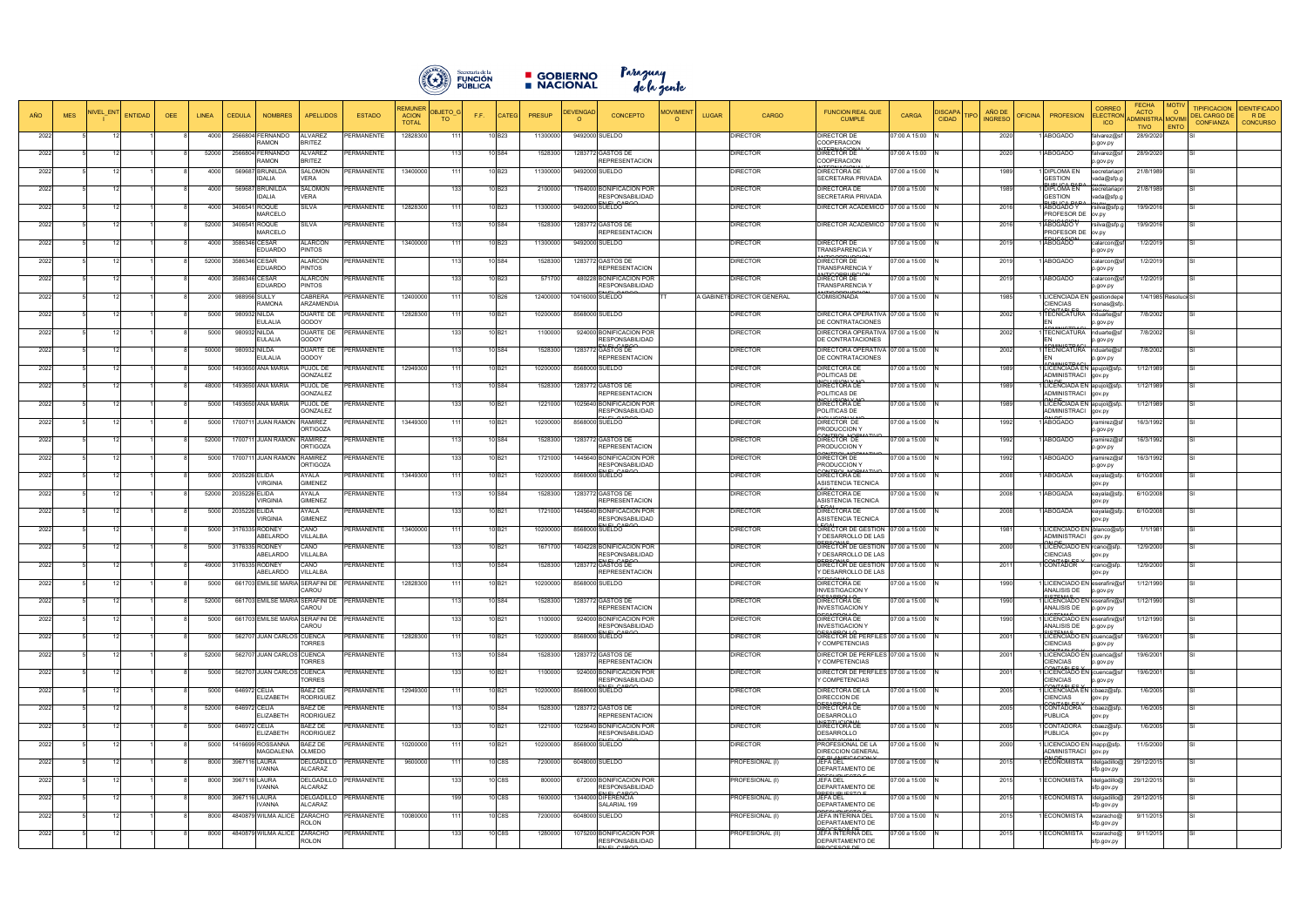

■ GOBIERNO Paraguay<br>■ NACIONAL dela gente

|      |            |          |                              |              |               |                                   |                                                     |                   | REMUNE                       |                             |                    |               |                             |                                                                                                                      |             |                             |                                                                       |                 |                              |                          |                                                                 | <b>CORRE</b>               | FECHA                                                |                      | <b>TIPIFICACION</b>                     | <b>DENTIFICADO</b> |
|------|------------|----------|------------------------------|--------------|---------------|-----------------------------------|-----------------------------------------------------|-------------------|------------------------------|-----------------------------|--------------------|---------------|-----------------------------|----------------------------------------------------------------------------------------------------------------------|-------------|-----------------------------|-----------------------------------------------------------------------|-----------------|------------------------------|--------------------------|-----------------------------------------------------------------|----------------------------|------------------------------------------------------|----------------------|-----------------------------------------|--------------------|
| AÑO  | <b>MES</b> | IIVEL EN | <b>ENTIDAD</b><br><b>OEE</b> | <b>LINEA</b> | <b>CEDULA</b> | <b>NOMBRES</b>                    | <b>APELLIDOS</b>                                    | <b>ESTADO</b>     | <b>ACION</b><br><b>TOTAI</b> | <b>DBJETO</b><br>F.F.<br>TO | CATEC              | <b>PRESUP</b> | <b>DEVENGAD</b><br>$\Omega$ | <b>MOVIMIENT</b><br><b>CONCEPTO</b><br>$\Omega$                                                                      | <b>UGAR</b> | <b>CARGO</b>                | <b>FUNCION REAL QUE</b><br><b>CUMPLE</b>                              | <b>CARGA</b>    | <b>ISCAP</b><br><b>CIDAD</b> | AÑO DE<br><b>INGRESO</b> | <b>PROFESION</b><br><b>PEICINA</b>                              | ELECTRO<br><b>ICO</b>      | <b>ACTO</b><br><b>DMINISTRA MOVIN</b><br><b>TIVO</b> | $\circ$<br>ENTO      | <b>DEL CARGO DE</b><br><b>CONFIANZA</b> | RDE<br>CONCURSO    |
| 2022 |            |          |                              | 4000         |               | 2566804 FERNANDO<br><b>AMON</b>   | ALVAREZ<br><b>BRITEZ</b>                            | <b>PERMANENTE</b> | 12828300                     |                             | 10 B <sub>23</sub> | 11300000      |                             | 9492000 SUELDO                                                                                                       |             | DIRECTOR                    | DIRECTOR DE<br>COOPERACION                                            | 7:00 A 15:00    |                              | 2020                     | ABOGADO                                                         | falvarez@sf<br>o.gov.py    | 28/9/2020                                            |                      |                                         |                    |
| 2022 |            |          |                              | 52000        | 2566804       | <b>ERNANDO</b><br><b>MOMAS</b>    | ALVAREZ<br><b>RITEZ</b>                             | PERMANENTE        |                              |                             | 10 S84             | 1528300       |                             | 1283772 GASTOS DE<br><b>REPRESENTACION</b>                                                                           |             | <b>DIRECTOR</b>             | DIRECTOR DE<br>COOPERACION                                            | 7:00 A 15:00    |                              | 2020                     | ABOGADO                                                         | falvarez@st<br>o.gov.py    | 28/9/2020                                            |                      |                                         |                    |
| 2022 |            |          |                              | 4000         | 569687        | 3RUNILDA<br>DALIA                 | SALOMON<br><b>VERA</b>                              | <b>ERMANENTE</b>  | 13400000                     |                             | 10 B <sub>23</sub> | 11300000      |                             | 9492000 SUELDO                                                                                                       |             | DIRECTOR                    | DIRECTORA DE<br>SECRETARIA PRIVADA                                    | 7:00 a 15:00    |                              | 1989                     | DIPLOMA EN<br><b>GESTION</b>                                    | secretariapı<br>vada@sfp.  | 21/8/1989                                            |                      |                                         |                    |
| 2022 |            |          |                              | 4000         | 569687        | BRUNILDA<br><b>DALIA</b>          | <b>SALOMON</b><br><b>VERA</b>                       | PERMANENTE        |                              | 133                         | 10 B <sub>23</sub> | 2100000       |                             | 1764000 BONIFICACION POR<br><b>ESPONSABILIDAD</b>                                                                    |             | <b>DIRECTOR</b>             | DIRECTORA DE<br>SECRETARIA PRIVADA                                    | 7:00 a 15:00    |                              | 1989                     | DIPLOMA EN<br><b>GESTION</b>                                    | secretariapı<br>vada@sfp.  | 21/8/1989                                            |                      |                                         |                    |
| 2022 |            |          |                              | 4000         | 3406541       | <b>ROQUE</b><br><b>MARCELO</b>    | SILVA                                               | PERMANENTE        | 12828300                     | 11'                         | 10 B <sub>23</sub> | 11300000      |                             | 9492000 SUELDO                                                                                                       |             | <b>DIRECTOR</b>             | DIRECTOR ACADEMICO                                                    | 07:00 a 15:00   |                              | 2016                     | <b>ABOGADO Y</b><br>PROFESOR DE                                 | rsilva@sfp.o<br>ov.py      | 19/9/2016                                            |                      |                                         |                    |
| 2022 |            |          |                              | 52000        | 3406541       | ROQUE<br><b>MARCELO</b>           | SILVA                                               | PERMANENTE        |                              |                             | 10 S84             | 152830        |                             | 1283772 GASTOS DE<br><b>REPRESENTACION</b>                                                                           |             | <b>DIRECTOR</b>             | DIRECTOR ACADEMICO                                                    | 07:00 a 15:00   |                              | 2016                     | ABOGADO Y<br><b>PROFESOR DE</b>                                 | rsilva@sfp.g<br>ov.py      | 19/9/2016                                            |                      |                                         |                    |
| 2022 |            |          |                              | 4000         |               | 3586346 CESAR<br><b>DUARDO</b>    | ALARCON<br>PINTOS                                   | <b>ERMANENTE</b>  | 13400000                     |                             | 10B23              | 11300000      |                             | 9492000 SUELDO                                                                                                       |             | <b>DIRECTOR</b>             | <b>DIRECTOR DE</b><br><b>TRANSPARENCIA Y</b>                          | 7:00 a 15:00    |                              | 2019                     | ABOGADO                                                         | calarcon@st<br>o.gov.py    | 1/2/2019                                             |                      |                                         |                    |
| 2022 |            |          |                              | 52000        |               | 3586346 CESAR<br>EDUARDO          | <b>ALARCON</b><br>PINTOS                            | PERMANENTE        |                              |                             | 10 S84             | 1528300       |                             | 1283772 GASTOS DE<br><b>REPRESENTACION</b>                                                                           |             | <b>DIRECTOR</b>             | DIRECTOR DE<br>TRANSPARENCIA <sup>'</sup>                             | 7:00 a 15:00    |                              | 2019                     | ABOGADO                                                         | calarcon@s<br>o.gov.py     | 1/2/2019                                             |                      |                                         |                    |
| 2022 |            |          |                              | 4000         |               | 3586346 CESAR<br>EDUARDO          | ALARCON<br>PINTOS                                   | PERMANENTE        |                              |                             | 10 B <sub>23</sub> | 571700        |                             | 480228 BONIFICACION POR<br><b>RESPONSABILIDAD</b>                                                                    |             | <b>DIRECTOR</b>             | DIRECTOR DE<br>TRANSPARENCIA \                                        | 7:00 a 15:00    |                              | 2019                     | ABOGADO                                                         | calarcon@s<br>p.gov.py     | 1/2/2019                                             |                      |                                         |                    |
| 2022 |            |          |                              | 2000         |               | 988956 SULLY<br><b>AMONA</b>      | CABRERA<br><b>ARZAMENDIA</b>                        | <b>ERMANENTE</b>  | 12400000                     |                             | 10 B26             | 12400000      |                             | 10416000 SUELDO                                                                                                      |             | A GABINETI DIRECTOR GENERAL | <b>COMISIONADA</b>                                                    | 07:00 a 15:00   |                              | 1985                     | LICENCIADA EN gestiondepe<br><b>IENCIAS</b>                     | rsonas@sfp                 |                                                      | 1/4/1985 Resoluci SI |                                         |                    |
| 2022 |            |          |                              | 5000         |               | 980932 NILDA<br>EULALIA           | UARTE DE<br>GODOY                                   | <b>PERMANENTE</b> | 12828300                     |                             | 10 B <sub>21</sub> | 10200000      |                             | 8568000 SUELDO                                                                                                       |             | <b>DIRECTOR</b>             | <b>DIRECTORA OPERATIVA</b><br>DE CONTRATACIONES                       | 07:00 a 15:00   |                              | 2002                     | TECNICATURA nduarte@sf                                          | o.gov.py                   | 7/8/2002                                             |                      |                                         |                    |
| 2022 |            |          |                              | 5000         |               | 980932 NILDA<br>EULALIA           | DUARTE DE<br><b>GODOY</b>                           | PERMANENTE        |                              |                             | 10 B <sub>21</sub> | 1100000       |                             | 924000 BONIFICACION POR<br>RESPONSABILIDAD                                                                           |             | DIRECTOR                    | DIRECTORA OPERATIVA<br>DE CONTRATACIONES                              | 07:00 a 15:00   |                              | 2002                     | TECNICATURA                                                     | nduarte@sf<br>o.gov.py     | 7/8/2002                                             |                      |                                         |                    |
| 2022 |            |          |                              | 50000        | 980932        | NILDA<br><b>ULALIA</b>            | DUARTE DE<br>GODOY                                  | PERMANENTE        |                              |                             | 10 S84             | 152830        | 1283772                     | <b>GASTOS DE</b><br>REPRESENTACION                                                                                   |             | <b>DIRECTOR</b>             | DIRECTORA OPERATIVA<br>DE CONTRATACIONES                              | 07:00 a 15:00   |                              | 2002                     | TECNICATURA                                                     | nduarte@sf<br>o.gov.py     | 7/8/2002                                             |                      |                                         |                    |
| 2022 |            |          |                              | 5000         |               | 1493650 ANA MARIA                 | PUJOL DE<br><b>GONZALEZ</b>                         | <b>PERMANENTE</b> | 12949300                     | 11'                         | 10 B21             | 10200000      |                             | 8568000 SUELDO                                                                                                       |             | <b>DIRECTOR</b>             | <b>DIRECTORA DE</b><br>POLITICAS DE                                   | 7:00 a 15:00    |                              | 1989                     | LICENCIADA EN apujol@sfp<br>ADMINISTRACI gov.py                 |                            | 1/12/1989                                            |                      |                                         |                    |
| 2022 |            |          |                              | 48000        |               | 1493650 ANA MARIA                 | <b>PUJOL DE</b><br>GONZALEZ                         | <b>ERMANENTE</b>  |                              |                             | 10 S84             | 1528300       |                             | 1283772 GASTOS DE<br><b>REPRESENTACION</b>                                                                           |             | <b>DIRECTOR</b>             | DIRECTORA DE<br>POLITICAS DE                                          | 07:00 a 15:00   |                              | 1989                     | LICENCIADA EN apujol@sfp.<br>ADMINISTRACI gov.py                |                            | 1/12/1989                                            |                      |                                         |                    |
| 2022 |            |          |                              | 5000         |               | 1493650 ANA MARIA                 | PUJOL DE<br>GONZALEZ                                | <b>ERMANENTE</b>  |                              | 133                         | 10 B <sub>21</sub> | 1221000       |                             | 1025640 BONIFICACION POR<br><b>RESPONSABILIDAD</b>                                                                   |             | <b>DIRECTOR</b>             | DIRECTORA DE<br>POLITICAS DE                                          | 07:00 a 15:00   |                              | 1989                     | LICENCIADA EN apujol@sfp.<br>ADMINISTRACI                       | gov.py                     | 1/12/1989                                            |                      |                                         |                    |
| 2022 |            |          |                              | 5000         | 1700711       | <b>JUAN RAMON</b>                 | <b>RAMIREZ</b><br><b>ORTIGOZA</b>                   | <b>ERMANENTE</b>  | 13449300                     |                             | 10 B21             | 10200000      |                             | 8568000 SUELDO                                                                                                       |             | <b>DIRECTOR</b>             | DIRECTOR DE<br>PRODUCCION <sup>1</sup>                                | 07:00 a 15:00   |                              | 1992                     | ABOGADO                                                         | jramirez@s<br>o.gov.py     | 16/3/1992                                            |                      |                                         |                    |
| 2022 |            |          |                              | 52000        | 1700711       | <b>JUAN RAMON</b>                 | RAMIREZ<br><b>ORTIGOZA</b>                          | <b>ERMANENTE</b>  |                              |                             | 10 S84             | 152830        |                             | 1283772 GASTOS DE<br><b>REPRESENTACION</b>                                                                           |             | <b>DIRECTOR</b>             | DIRECTOR DE<br>PRODUCCION '                                           | 7:00 a 15:00    |                              | 1992                     | ABOGADO                                                         | jramirez@s<br>p.gov.py     | 16/3/1992                                            |                      |                                         |                    |
| 2022 |            |          |                              | 5000         | 1700711       | <b>JUAN RAMON</b>                 | RAMIREZ<br><b>ORTIGOZA</b>                          | <b>PERMANENTE</b> |                              |                             | 10 <sub>B21</sub>  | 1721000       |                             | 1445640 BONIFICACION POR<br>RESPONSABILIDAD                                                                          |             | <b>DIRECTOR</b>             | DIRECTOR DE<br><b>PRODUCCION Y</b>                                    | 7:00 a 15:00    |                              | 1992                     | ABOGADO                                                         | jramirez@s<br>o.gov.py     | 16/3/1992                                            |                      |                                         |                    |
| 2022 |            |          |                              | 5000         | 2035226 ELIDA | <b>IRGINIA</b>                    | AYALA<br><b>GIMENEZ</b>                             | PERMANENTE        | 13449300                     | 111                         | 10 B <sub>21</sub> | 10200000      |                             | 8568000 SUELDO                                                                                                       |             | <b>DIRECTOR</b>             | DIRECTORA DE<br>ASISTENCIA TECNICA                                    | 07:00 a 15:00   |                              | 2008                     | <b>ABOGADA</b>                                                  | eayala@sfp<br>gov.py       | 6/10/2008                                            |                      |                                         |                    |
| 2022 |            |          |                              | 52000        | 2035226 ELIDA | <b>IRGINIA</b>                    | AYALA<br><b>GIMENEZ</b>                             | PERMANENTE        |                              | 11'                         | 10 S84             | 152830        |                             | 1283772 GASTOS DE<br><b>REPRESENTACION</b>                                                                           |             | <b>DIRECTOR</b>             | DIRECTORA DE<br>ASISTENCIA TECNICA                                    | 7:00 a 15:00    |                              | 2008                     | <b>ABOGADA</b>                                                  | eayala@sf<br>gov.py        | 6/10/2008                                            |                      |                                         |                    |
| 2022 |            |          |                              | 5000         | 2035226 ELIDA | <b>IRGINIA</b>                    | AYALA<br><b>GIMENEZ</b>                             | PERMANENTE        |                              | 133                         | 10 B <sub>21</sub> | 1721000       |                             | 1445640 BONIFICACION POR<br><b>RESPONSABILIDAD</b><br>$\Gamma$ $\Gamma$ $\Gamma$ $\Gamma$ $\Gamma$ $\Gamma$ $\Gamma$ |             | <b>DIRECTOR</b>             | DIRECTORA DE<br>ASISTENCIA TECNICA                                    | $37:00$ a 15:00 |                              | 2008                     | ABOGADA                                                         | eayala@sfp<br>gov.py       | 6/10/2008                                            |                      |                                         |                    |
| 2022 |            |          |                              | 5000         |               | 3176335 RODNEY<br>BELARDO         | CANO<br><b>VILLALBA</b>                             | PERMANENTE        | 13400000                     | 11'                         | 10 B <sub>21</sub> | 10200000      |                             | 8568000 SUELDO                                                                                                       |             | <b>DIRECTOR</b>             | DIRECTOR DE GESTION<br>Y DESARROLLO DE LAS                            | 07:00 a 15:00   |                              | 1981                     | LICENCIADO EN  blanco@s<br>ADMINISTRACI                         | .gov.py                    | 1/1/1981                                             |                      |                                         |                    |
| 2022 |            |          |                              | 5000         |               | 3176335 RODNEY<br>BELARDO         | CANO<br><b>VILLALBA</b>                             | PERMANENTE        |                              |                             | 10 B <sub>21</sub> | 1671700       |                             | 1404228 BONIFICACION POR<br><b>ESPONSABILIDAD</b><br>$III$ $CABC$                                                    |             | <b>DIRECTOR</b>             | DIRECTOR DE GESTION<br>Y DESARROLLO DE LAS<br><b>EDCOMA</b>           | 07:00 a 15:00   |                              | 2000                     | LICENCIADO EN rcano@sfp<br>CIENCIAS<br>MTADIT                   | gov.py                     | 12/9/2000                                            |                      |                                         |                    |
| 2022 |            |          |                              | 49000        |               | 3176335 RODNEY<br><b>ABELARDO</b> | CANO<br><b>VILLALBA</b>                             | PERMANENTE        |                              |                             | 10 S84             | 152830        |                             | 1283772 GASTOS DE<br><b>REPRESENTACION</b>                                                                           |             | <b>DIRECTOR</b>             | DIRECTOR DE GESTION<br>Y DESARROLLO DE LAS                            | 07:00 a 15:00   |                              | 2011                     | CONTADOR                                                        | rcano@sfp<br>gov.py        | 12/9/2000                                            |                      |                                         |                    |
| 2022 |            |          |                              | 5000         |               |                                   | 661703 EMILSE MARIA SERAFINI DE PERMANENTE<br>CAROU |                   | 12828300                     |                             | 10 B <sub>21</sub> | 10200000      |                             | 8568000 SUELDO                                                                                                       |             | <b>DIRECTOR</b>             | DIRECTORA DE<br><b>INVESTIGACION Y</b><br>0.0001                      | 07:00 a 15:00   |                              | 1990                     | LICENCIADO EN eserafini@sf<br>ANALISIS DE                       | p.gov.py                   | 1/12/1990                                            |                      |                                         |                    |
| 2022 |            |          |                              | 52000        |               |                                   | 661703 EMILSE MARIA SERAFINI DE PERMANENTE<br>CAROU |                   |                              |                             | 10 S84             | 1528300       |                             | 1283772 GASTOS DE<br><b>REPRESENTACION</b>                                                                           |             | <b>DIRECTOR</b>             | DIRECTORA DE<br><b>INVESTIGACION Y</b>                                | 07:00 a 15:00   |                              | 1990                     | LICENCIADO EN eserafini@sf<br>ANALISIS DE<br>2TTAAC             | p.gov.py                   | 1/12/1990                                            |                      |                                         |                    |
| 2022 |            |          |                              | 5000         |               |                                   | 661703 EMILSE MARIA SERAFINI DE<br>CAROU            | <b>PERMANENTE</b> |                              |                             | 10 B <sub>21</sub> | 1100000       |                             | 924000 BONIFICACION POR<br><b>RESPONSABILIDAD</b>                                                                    |             | <b>DIRECTOR</b>             | DIRECTORA DE<br><b>INVESTIGACION Y</b>                                | 7:00 a 15:00    |                              | 1990                     | LICENCIADO EN eserafini@sf<br>ANALISIS DE<br>--***              | p.gov.py                   | 1/12/1990                                            |                      |                                         |                    |
| 2022 |            | 12       |                              | 5000         |               | 562707 JUAN CARLOS CUENCA         | <b>TORRES</b>                                       | PERMANENTE        | 12828300                     | 111                         | 10B21              | 10200000      |                             | 8568000 SUELDO                                                                                                       |             | <b>DIRECTOR</b>             | DIRECTOR DE PERFILES 07:00 a 15:00<br>Y COMPETENCIAS                  |                 |                              | 2001                     | LICENCIADO EN jcuenca@sf<br>CIENCIAS<br><b>NITADI</b>           | p.gov.py                   | 19/6/2001                                            |                      |                                         |                    |
| 2022 |            |          |                              | 52000        |               | 562707 JUAN CARLOS CUENCA         | <b>TORRES</b>                                       | PERMANENTE        |                              | 113                         | 10 S84             | 1528300       |                             | 1283772 GASTOS DE<br><b>REPRESENTACION</b>                                                                           |             | <b>DIRECTOR</b>             | DIRECTOR DE PERFILES 07:00 a 15:00<br>Y COMPETENCIAS                  |                 |                              | 2001                     | LICENCIADO EN jcuenca@st<br>CIENCIAS                            | p.gov.py                   | 19/6/2001                                            |                      |                                         |                    |
| 2022 |            | -12      |                              | 5000         |               | 562707 JUAN CARLOS CUENCA         | <b>ORRES</b>                                        | PERMANENTE        |                              | 133                         | 10 B <sub>21</sub> | 1100000       |                             | 924000 BONIFICACION POR<br><b>RESPONSABILIDAD</b><br>$ET$ $CADC$                                                     |             | <b>DIRECTOR</b>             | DIRECTOR DE PERFILES 07:00 a 15:00<br>COMPETENCIAS                    |                 |                              | 2001                     | LICENCIADO EN jcuenca@sf<br><b>CIENCIAS</b><br><b>NITADI FC</b> | p.gov.py                   | 19/6/2001                                            | SI                   |                                         |                    |
| 2022 |            |          |                              | 5000         |               | 646972 CELIA<br>ELIZABETH         | 3AEZ DE<br><b>RODRIGUEZ</b>                         | <b>ERMANENTE</b>  | 12949300                     | 111                         | 10 B <sub>21</sub> | 10200000      |                             | 8568000 SUELDO                                                                                                       |             | <b>DIRECTOR</b>             | DIRECTORA DE LA<br>DIRECCION DE                                       | 07:00 a 15:00   |                              | 2005                     | LICENCIADA EN cbaez@sfp<br>CIENCIAS                             | gov.py                     | 1/6/2005                                             |                      |                                         |                    |
| 2022 |            |          |                              | 52000        |               | 646972 CELIA<br>ELIZABETH         | BAEZ DE<br>RODRIGUEZ                                | <b>ERMANENTE</b>  |                              |                             | 10 S84             | 1528300       |                             | 1283772 GASTOS DE<br><b>REPRESENTACION</b>                                                                           |             | <b>DIRECTOR</b>             | DIRECTORA DE<br>DESARROLLO<br><b>MOTITLIQIQALA</b>                    | 07:00 a 15:00   |                              | 2005                     | CONTADORA<br><b>PUBLICA</b>                                     | cbaez@sfp<br>gov.py        | 1/6/2005                                             |                      |                                         |                    |
| 2022 |            |          |                              | 5000         |               | 646972 CELIA<br>ELIZABETH         | BAEZ DE<br><b>RODRIGUEZ</b>                         | PERMANENTE        |                              | 133                         | 10 B <sub>21</sub> | 1221000       |                             | 1025640 BONIFICACION POR<br><b>RESPONSABILIDAD</b>                                                                   |             | <b>DIRECTOR</b>             | DIRECTORA DE<br><b>DESARROLLO</b>                                     | 07:00 a 15:00   |                              | 2005                     | CONTADORA<br><b>UBLICA</b>                                      | cbaez@sfp.<br>gov.py       | 1/6/2005                                             |                      |                                         |                    |
| 2022 |            |          |                              | 5000         |               | 1416699 ROSSANNA<br>MAGDALENA     | BAEZ DE<br>OLMEDO                                   | PERMANENTE        | 10200000                     |                             | 10 B <sub>21</sub> | 10200000      |                             | 8568000 SUELDO                                                                                                       |             | <b>DIRECTOR</b>             | PROFESIONAL DE LA<br><b>DIRECCION GENERAL</b><br><b>COLANIEICACIO</b> | 07:00 a 15:00   |                              | 2000                     | LICENCIADO EN inapp@sfp.<br>ADMINISTRACI                        | gov.py                     | 11/5/2000                                            |                      |                                         |                    |
| 2022 |            |          |                              | 8000         | 3967116       | LAURA<br>VANNA                    | DELGADILLO<br><b>ALCARAZ</b>                        | <b>PERMANENTE</b> | 9600000                      |                             | 10 C8S             | 7200000       |                             | 6048000 SUELDO                                                                                                       |             | PROFESIONAL (I)             | JEFA DEL<br>DEPARTAMENTO DE                                           | 7:00 a 15:00    |                              | 2015                     | ECONOMISTA                                                      | Idelgadillo@<br>sfp.gov.py | 29/12/2015                                           |                      |                                         |                    |
| 2022 |            |          |                              | 8000         |               | 3967116 LAURA<br><b>VANNA</b>     | DELGADILLO<br>ALCARAZ                               | PERMANENTE        |                              | 133                         | 10 C8S             | 800000        |                             | 672000 BONIFICACION POR<br><b>RESPONSABILIDAD</b><br><b>NEL CADA</b>                                                 |             | PROFESIONAL (I)             | JEFA DEL<br>DEPARTAMENTO DE<br><b>IDEOLIDUECTO</b>                    | 7:00 a 15:00    |                              | 2015                     | ECONOMISTA                                                      | Idelgadillo@<br>sfp.gov.py | 29/12/2015                                           |                      |                                         |                    |
| 2022 |            |          |                              | 8000         |               | 3967116 LAURA<br>VANNA            | DELGADILLO<br><b>ALCARAZ</b>                        | PERMANENTE        |                              | 199                         | 10 C8S             | 1600000       |                             | 1344000 DIFERENCIA<br>SALARIAL 199                                                                                   |             | PROFESIONAL (I)             | JEFA DEL<br>DEPARTAMENTO DE                                           | 07:00 a 15:00   |                              | 2015                     | ECONOMISTA                                                      | Idelgadillo@<br>sfp.gov.py | 29/12/2015                                           |                      |                                         |                    |
| 2022 |            |          |                              | 8000         |               | 4840879 WILMA ALICE               | ZARACHO<br>ROLON                                    | <b>ERMANENTE</b>  | 10080000                     | 11'                         | 10 C8S             | 7200000       |                             | 6048000 SUELDO                                                                                                       |             | PROFESIONAL (I)             | JEFA INTERINA DEL<br>DEPARTAMENTO DE<br><b>DOCESOS D</b>              | 7:00 a 15:00    |                              | 2015                     | <b>ECONOMISTA</b>                                               | wzaracho@<br>sfp.gov.py    | 9/11/2015                                            |                      |                                         |                    |
| 2022 |            |          |                              | 8000         |               | 4840879 WILMA ALICE               | ZARACHO<br>ROLON                                    | PERMANENTE        |                              | 133                         | 10 C8S             | 1280000       |                             | 1075200 BONIFICACION POR<br><b>RESPONSABILIDAD</b><br><b>IFLOADO</b>                                                 |             | PROFESIONAL (II)            | JEFA INTERINA DEL<br>DEPARTAMENTO DE<br>OCESOS DE                     | 07:00 a 15:00   |                              | 2015                     | <b>ECONOMISTA</b>                                               | wzaracho@<br>sfp.gov.py    | 9/11/2015                                            |                      |                                         |                    |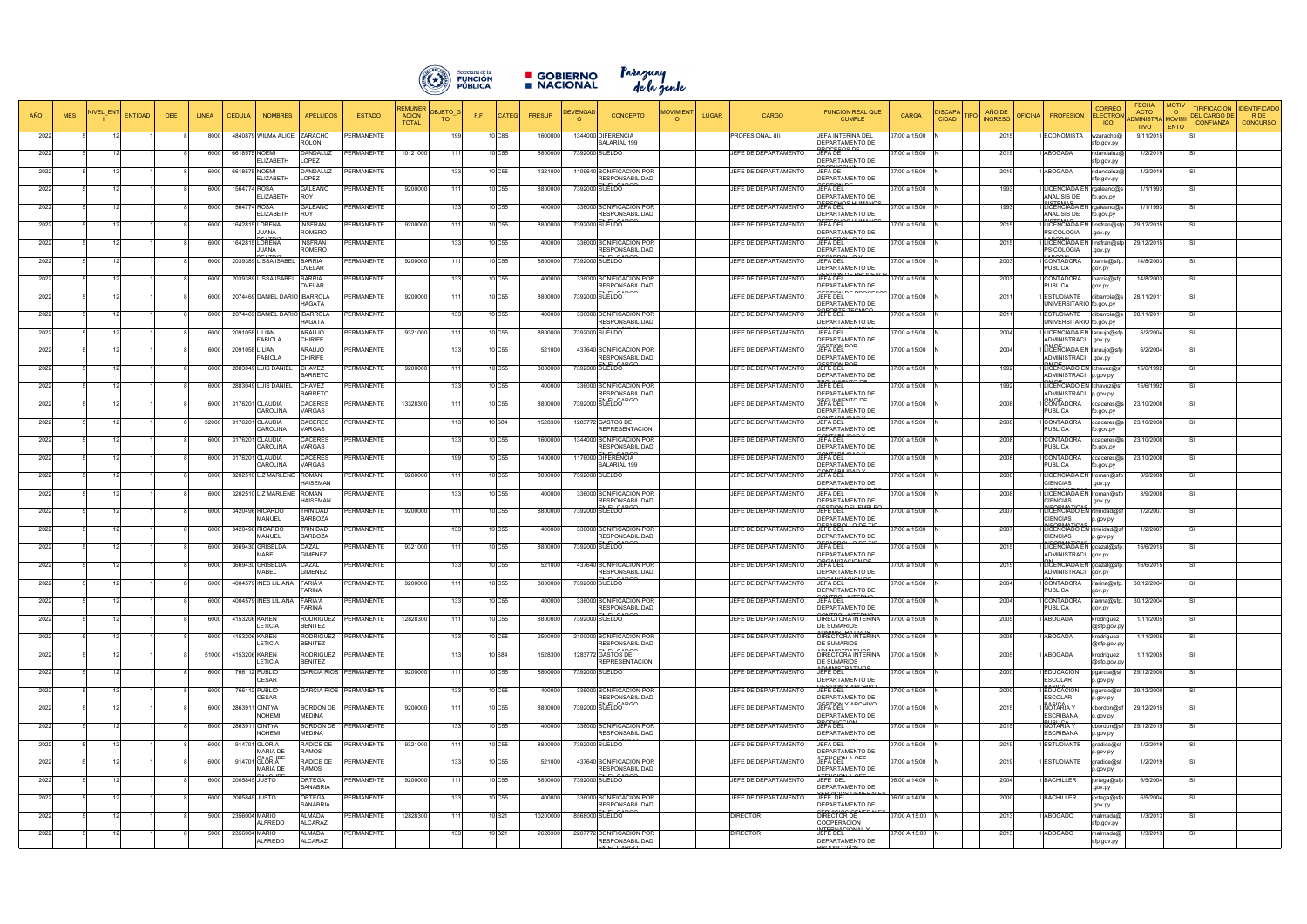

GOBIERNO Paraguay<br>DACIONAL delagente

| <b>AÑO</b> | <b>MES</b> | JIVEL EN<br><b>ENTIDAD</b> | <b>OEE</b> | <b>LINEA</b> | <b>CEDULA</b>  | <b>NOMBRES</b>                  | <b>APELLIDOS</b>                | <b>ESTADO</b>                 | <b>ACION</b><br><b>TOTAL</b> | DBJETO G<br><b>TO</b> | <b>CATEG</b><br>F.F. | PRESUP   | <b>EVENGA</b> | <b>CONCEPTO</b>                                                         | <b>IOVIMIEN</b> | CARGO<br><b>LUGAR</b> | <b>FUNCION REAL QUE</b><br>CARGA<br><b>CUMPLE</b>                                       | AÑO DE<br>)ISCAP/<br><b>TIPO</b><br><b>CIDAD</b><br><b>INGRESO</b> | <b>OFICINA</b><br><b>PROFESION</b>                               | <b>CORREC</b><br><b>ELECTROI</b><br><b>ICO</b> | <b>FECHA</b><br><b>ACTO</b><br>ADMINISTRA MOVIM<br><b>TIVO</b> | <b>MOTIV</b><br><b>TIPIFICACION</b><br>$\circ$<br><b>DEL CARGO DE</b><br><b>CONFIANZA</b><br>ENTO | <b>DENTIFICADO</b><br>R DE<br><b>CONCURSO</b> |
|------------|------------|----------------------------|------------|--------------|----------------|---------------------------------|---------------------------------|-------------------------------|------------------------------|-----------------------|----------------------|----------|---------------|-------------------------------------------------------------------------|-----------------|-----------------------|-----------------------------------------------------------------------------------------|--------------------------------------------------------------------|------------------------------------------------------------------|------------------------------------------------|----------------------------------------------------------------|---------------------------------------------------------------------------------------------------|-----------------------------------------------|
| 2022       |            |                            |            | 8000         |                | 4840879 WILMA ALICE             | ZARACHO<br><b>ROLON</b>         | PERMANENTE                    |                              | 199                   | 10 C8S               | 160000   |               | 1344000 DIFERENCIA<br>SALARIAL 199                                      |                 | PROFESIONAL (II)      | JEFA INTERINA DEL<br>07:00 a 15:00<br>DEPARTAMENTO DE                                   | 2015                                                               | <b>ECONOMISTA</b>                                                | wzaracho@<br>sfp.gov.py                        | 9/11/2015                                                      |                                                                                                   |                                               |
| 2022       |            |                            |            | 6000         |                | 6618575 NOEMI<br>ELIZABETH      | DANDALUZ<br>OPEZ.               | <b>PERMANENTE</b>             | 10121000                     | 111                   | 10 C55               | 880000   |               | 7392000 SUELDO                                                          |                 | JEFE DE DEPARTAMENTO  | 7:00 a 15:00<br>JEFA DE<br>DEPARTAMENTO DE                                              | 2019                                                               | <b>ABOGADA</b>                                                   | ndandaluz@<br>sfp.gov.py                       | 1/2/2019                                                       |                                                                                                   |                                               |
| 2022       |            |                            |            | 6000         |                | 6618575 NOEMI<br>ELIZABETH      | DANDALUZ<br>OPEZ                | PERMANENTE                    |                              | 133                   | 10 C55               | 1321000  |               | 1109640 BONIFICACION POR<br><b>RESPONSABILIDAD</b>                      |                 | JEFE DE DEPARTAMENTO  | JEFA DE<br>07:00 a 15:00<br>DEPARTAMENTO DE                                             | 2019                                                               | ABOGADA                                                          | ndandaluz@<br>sfp.gov.py                       | 1/2/2019                                                       |                                                                                                   |                                               |
| 2022       |            |                            |            | 6000         | 1564774 ROSA   | ELIZABETH                       | GALEANO<br>ROY                  | PERMANENTE                    | 9200000                      | -111                  | 10 C55               | 880000   |               | 7392000 SUELDO                                                          |                 | JEFE DE DEPARTAMENTO  | <b>JEFA DEL</b><br>07:00 a 15:00<br>DEPARTAMENTO DE                                     | 1993                                                               | <b>LICENCIADA EN</b><br>ANALISIS DE                              | rgaleano@s<br>fp.gov.py                        | 1/1/1993                                                       |                                                                                                   |                                               |
| 2022       |            |                            |            | 6000         | 1564774 ROSA   | ELIZABETH                       | GALEANO<br>ROY                  | <b>PERMANENTE</b>             |                              | 133                   | 10 C55               | 40000    |               | 336000 BONIFICACION POR<br><b>RESPONSABILIDAD</b>                       |                 | JEFE DE DEPARTAMENTO  | <b>JEFA DEL</b><br>07:00 a 15:00<br>DEPARTAMENTO DE                                     | 1993                                                               | LICENCIADA EN rgaleano@s<br>ANALISIS DE<br>2TFAAA                | fp.gov.py                                      | 1/1/1993                                                       |                                                                                                   |                                               |
| 2022       |            |                            |            | 6000         |                | 1642815 LORENA<br><b>UANA</b>   | INSFRAN<br>ROMERO               | PERMANENTE                    | 9200000                      | 111                   | 10 C55               | 8800000  |               | 7392000 SUELDO                                                          |                 | JEFE DE DEPARTAMENTO  | <b>JEFA DEL</b><br>7:00 a 15:00<br>DEPARTAMENTO DE                                      | 2015                                                               | LICENCIADA EN linsfran@sfp<br><b>PSICOLOGIA</b>                  | gov.py                                         | 29/12/2015                                                     |                                                                                                   |                                               |
| 2022       |            |                            |            | 6000         |                | 1642815 LORENA<br><b>JUANA</b>  | INSFRAN<br>ROMERO               | PERMANENTE                    |                              | 133                   | 10 C55               | 40000    |               | 336000 BONIFICACION POR<br>RESPONSABILIDAD                              |                 | JEFE DE DEPARTAMENTO  | JEFA DEL<br>07:00 a 15:00<br>DEPARTAMENTO DE<br>0.0001                                  | 2015                                                               | LICENCIADA EN linsfran@sfp<br><b>PSICOLOGIA</b>                  | gov.py                                         | 29/12/2015                                                     |                                                                                                   |                                               |
| 2022       |            |                            |            | 6000         |                | 2039389 LISSA ISABEL            | <b>BARRIA</b><br>OVELAR         | <b>PERMANENTE</b>             | 9200000                      | 111                   | 10 C55               | 880000   |               | 7392000 SUELDO                                                          |                 | JEFE DE DEPARTAMENTO  | JEFA DEL<br>07:00 a 15:00<br>DEPARTAMENTO DE                                            | 2003                                                               | CONTADORA<br>PUBLICA                                             | lbarria@sfp<br>gov.py                          | 14/8/2003                                                      |                                                                                                   |                                               |
| 2022       |            |                            |            | 6000         |                | 2039389 LISSA ISABEL            | <b>BARRIA</b><br>OVELAR         | PERMANENTE                    |                              | 133                   | 10 C55               | 40000    |               | 336000 BONIFICACION POR<br><b>RESPONSABILIDAD</b><br><b>FLOADOO</b>     |                 | JEFE DE DEPARTAMENTO  | <b>JEFA DEL</b><br>7:00 a 15:00<br>DEPARTAMENTO DE<br><b>COTION DE DD</b>               | 2003                                                               | CONTADORA<br>PUBLICA                                             | lbarria@sfp<br>gov.py                          | 14/8/2003                                                      |                                                                                                   |                                               |
| 2022       |            |                            |            | 6000         |                | 2074469 DANIEL DARIO IBARROLA   | <b>HAGATA</b>                   | <b>PERMANENTE</b>             | 9200000                      | 111                   | 10 C55               | 880000   |               | 7392000 SUELDO                                                          |                 | JEFE DE DEPARTAMENTO  | JEFE DEL<br>07:00 a 15:00<br>DEPARTAMENTO DE                                            | 2011                                                               | <b>ESTUDIANTE</b><br>UNIVERSITARIO fp.gov.py                     | dibarrola@s                                    | 28/11/2011                                                     |                                                                                                   |                                               |
| 2022       |            |                            |            | 6000         |                | 2074469 DANIEL DARIC            | ) IBARROLA<br><b>HAGATA</b>     | PERMANENTE                    |                              | 133                   | 0 C55                | 40000    |               | 336000 BONIFICACION POR<br><b>RESPONSABILIDAD</b>                       |                 | JEFE DE DEPARTAMENTO  | JEFE DEL<br>7:00 a 15:00<br>DEPARTAMENTO DE                                             | 201                                                                | ESTUDIANTE<br>UNIVERSITARIO fp.gov.py                            | dibarrola@s                                    | 28/11/2011                                                     |                                                                                                   |                                               |
| 2022       |            |                            |            | 6000         | 2091058 LILIAN | FABIOLA                         | ARAUJO<br><b>CHIRIFE</b>        | <b>PERMANENTE</b>             | 9321000                      |                       | 10 C55               | 880000   |               | 7392000 SUELDO                                                          |                 | JEFE DE DEPARTAMENTO  | <b>JEFA DEL</b><br>07:00 a 15:00<br>DEPARTAMENTO DE                                     | 2004                                                               | LICENCIADA EN laraujo@sfp<br>ADMINISTRACI                        | .gov.py                                        | 6/2/2004                                                       |                                                                                                   |                                               |
| 2022       |            |                            |            | 6000         | 2091058 LILIAN | <b>FABIOLA</b>                  | ARAUJO<br><b>CHIRIFE</b>        | PERMANENTE                    |                              | 133                   | 10 C55               | 52100    |               | 437640 BONIFICACION POR<br>RESPONSABILIDAD                              |                 | JEFE DE DEPARTAMENTO  | 7:00 a 15:00<br><b>JEFA DEL</b><br>DEPARTAMENTO DE                                      | 2004                                                               | LICENCIADA EN laraujo@sfp<br>ADMINISTRACI                        | .gov.py                                        | 6/2/2004                                                       |                                                                                                   |                                               |
| 2022       |            |                            |            | 6000         |                | 2883049 LUIS DANIEL             | CHAVEZ<br><b>BARRETO</b>        | PERMANENTE                    | 9200000                      |                       | 10 C55               | 8800000  |               | 7392000 SUELDO                                                          |                 | JEFE DE DEPARTAMENTO  | JEFE DEL<br>07:00 a 15:00<br>DEPARTAMENTO DE<br>$21.011.01 \text{ F}$ M                 | 1992                                                               | LICENCIADO EN Ichavez@sf<br>ADMINISTRACI                         | p.gov.py                                       | 15/6/1992                                                      |                                                                                                   |                                               |
| 2022       |            |                            |            | 6000         |                | 2883049 LUIS DANIEL             | CHAVEZ<br><b>ARRETO</b>         | <b>PERMANENTE</b>             |                              |                       | 0 C55                | 40000    |               | 336000 BONIFICACION POR<br>RESPONSABILIDAD                              |                 | JEFE DE DEPARTAMENTO  | JEFE DEL<br>7:00 a 15:00<br>DEPARTAMENTO DE                                             | 1992                                                               | LICENCIADO EN Ichavez@sf<br>ADMINISTRACI                         | p.gov.py                                       | 15/6/1992                                                      |                                                                                                   |                                               |
| 2022       |            |                            |            | 6000         |                | 3176201 CLAUDIA<br>CAROLINA     | CACERES<br>ARGAS                | PERMANENTE                    | 13328300                     | 111                   | 10 C55               | 880000   |               | 7392000 SUELDO                                                          |                 | JEFE DE DEPARTAMENTO  | JEFA DEL<br>07:00 a 15:00<br>DEPARTAMENTO DE<br>UTADILIO                                | 2008                                                               | CONTADORA<br>PUBLICA                                             | ccaceres@s<br>fp.gov.py                        | 23/10/2008                                                     |                                                                                                   |                                               |
| 2022       |            |                            |            | 52000        |                | 3176201 CLAUDIA<br>CAROLINA     | CACERES<br><b>ARGAS</b>         | <b>PERMANENTE</b>             |                              | 113                   | 10 S84               | 1528300  |               | 1283772 GASTOS DE<br><b>REPRESENTACION</b>                              |                 | JEFE DE DEPARTAMENTO  | JEFA DEL<br>07:00 a 15:00<br>DEPARTAMENTO DE                                            | 2008                                                               | CONTADORA<br>PUBLICA                                             | ccaceres@s<br>fp.gov.py                        | 23/10/2008                                                     |                                                                                                   |                                               |
| 2022       |            |                            |            | 6000         |                | 3176201 CLAUDIA<br>CAROLINA     | CACERES<br>ARGAS                | <b>PERMANENTE</b>             |                              | 133                   | 10 C55               | 160000   |               | 1344000 BONIFICACION POR<br><b>RESPONSABILIDAD</b><br><b>FLOADO</b>     |                 | JEFE DE DEPARTAMENTO  | <b>JEFA DEL</b><br>07:00 a 15:00<br>DEPARTAMENTO DE<br><b>NITADILIDAD</b>               | 2008                                                               | CONTADORA<br>PUBLICA                                             | ccaceres@s<br>fp.gov.py                        | 23/10/2008                                                     |                                                                                                   |                                               |
| 2022       |            |                            |            | 6000         |                | 3176201 CLAUDIA<br>CAROLINA     | CACERES<br><b>ARGAS</b>         | <b>PERMANENTE</b>             |                              | 199                   | 10 C55               | 140000   |               | 1176000 DIFERENCIA<br>SALARIAL 199                                      |                 | JEFE DE DEPARTAMENTO  | JEFA DEL<br>07:00 a 15:00<br>DEPARTAMENTO DE                                            | 2008                                                               | CONTADORA<br>PUBLICA                                             | ccaceres@s<br>fp.gov.py                        | 23/10/2008                                                     |                                                                                                   |                                               |
| 2022       |            |                            |            | 6000         |                | 3202510 LIZ MARLENE             | ROMAN<br><b>IAISEMAN</b>        | PERMANENTE                    | 9200000                      | -111                  | 10 C55               | 880000   |               | 7392000 SUELDO                                                          |                 | JEFE DE DEPARTAMENTO  | <b>JEFA DEL</b><br>7:00 a 15:00<br>DEPARTAMENTO DE<br><b>COTION DEL EMPLE</b>           | 2008                                                               | LICENCIADA EN Iroman@sfp<br><b>CIENCIAS</b><br><b>IFODMATICA</b> | .gov.py                                        | 8/9/2008                                                       |                                                                                                   |                                               |
| 2022       |            |                            |            | 6000         |                | 3202510 LIZ MARLENE             | ROMAN<br>HAISEMAN               | PERMANENTE                    |                              | 133                   | 10 C55               | 40000    |               | 336000 BONIFICACION POR<br><b>RESPONSABILIDAD</b>                       |                 | JEFE DE DEPARTAMENTO  | <b>JEFA DEL</b><br>07:00 a 15:00<br>DEPARTAMENTO DE                                     | 2008                                                               | LICENCIADA EN Iroman@sfp<br><b>CIENCIAS</b>                      | gov.py                                         | 8/9/2008                                                       |                                                                                                   |                                               |
| 2022       |            |                            |            | 6000         |                | 3420496 RICARDO<br>MANUEL       | TRINIDAD<br><b>BARBOZA</b>      | PERMANENTE                    | 9200000                      | 111                   | 0 C <sub>55</sub>    | 880000   |               | 7392000 SUELDO                                                          |                 | JEFE DE DEPARTAMENTO  | 7:00 a 15:00<br>JEFE DEL<br>DEPARTAMENTO DE<br><b>ICADDOLLO DE T</b>                    | 2007                                                               | <b>LICENCIADO EN</b><br><b>CIENCIAS</b><br><b>IFODMATIC</b>      | rtrinidad@sf<br>o.gov.py                       | 1/2/2007                                                       |                                                                                                   |                                               |
| 2022       |            |                            |            | 6000         |                | 3420496 RICARDO<br>MANUEL       | TRINIDAD<br><b>BARBOZA</b>      | PERMANENTE                    |                              | 133                   | 10 C55               | 40000    |               | 336000 BONIFICACION POR<br>RESPONSABILIDAD                              |                 | JEFE DE DEPARTAMENTO  | JEFE DEL<br>7:00 a 15:00<br>DEPARTAMENTO DE                                             | 2007                                                               | LICENCIADO EN rtrinidad@st<br>CIENCIAS                           | o.gov.py                                       | 1/2/2007                                                       |                                                                                                   |                                               |
| 2022       |            |                            |            | 6000         |                | 3669430 GRISELDA<br><b>ABEL</b> | CAZAL<br><b>GIMENEZ</b>         | PERMANENTE                    | 9321000                      | 111                   | 0 C <sub>55</sub>    | 8800000  |               | 7392000 SUELDO                                                          |                 | JEFE DE DEPARTAMENTO  | <b>JEFA DEL</b><br>7:00 a 15:00<br>DEPARTAMENTO DE<br>CANIZACION                        | 2015                                                               | LICENCIADA EN gcazal@sfp.<br>ADMINISTRACI                        | gov.py                                         | 16/6/2015                                                      |                                                                                                   |                                               |
| 2022       |            |                            |            | 6000         |                | 3669430 GRISELDA<br>MABEL       | CAZAL<br><b>GIMENEZ</b>         | <b>PERMANENTE</b>             |                              | 133                   | 10 C55               | 52100    |               | 437640 BONIFICACION POR<br><b>RESPONSABILIDAD</b><br><b>UEL CADO</b>    |                 | JEFE DE DEPARTAMENTO  | <b>JEFA DEL</b><br>07:00 a 15:00<br>DEPARTAMENTO DE<br><b>CANIZACION</b>                | 2015                                                               | LICENCIADA EN gcazal@sfp.<br>ADMINISTRACI                        | gov.py                                         | 16/6/2015                                                      |                                                                                                   |                                               |
| 2022       |            |                            |            | 6000         |                | 4004579 INES LILIANA            | FARIÃ'A<br>ARINA                | PERMANENTE                    | 9200000                      | 111                   | 10 C55               | 8800000  |               | 7392000 SUELDO                                                          |                 | JEFE DE DEPARTAMENTO  | <b>JEFA DEL</b><br>07:00 a 15:00 N<br>DEPARTAMENTO DE                                   | 2004                                                               | 1 CONTADORA<br><b>UBLICA</b>                                     | ifarina@sfp.<br>gov.py                         | 30/12/2004                                                     |                                                                                                   |                                               |
| 2022       |            |                            |            | 6000         |                | 4004579 INES LILIANA            | FARIA'A<br>ARINA                | PERMANENTE                    |                              | 133                   | 10 C55               | 40000    |               | 336000 BONIFICACION POR<br><b>RESPONSABILIDAD</b><br><b>HELLOADOO</b>   |                 | JEFE DE DEPARTAMENTO  | 7:00 a 15:00<br><b>JEFA DEL</b><br>DEPARTAMENTO DE                                      | 2004                                                               | CONTADORA<br>PUBLICA                                             | ifarina@sfp.<br>gov.py                         | 30/12/2004                                                     |                                                                                                   |                                               |
| 2022       |            |                            |            | 6000         | 4153206 KAREN  | LETICIA                         | RODRIGUEZ<br>BENITEZ            | PERMANENTE                    | 12828300                     | 111                   | 10 C55               | 8800000  |               | 7392000 SUELDO                                                          |                 | JEFE DE DEPARTAMENTO  | DIRECTORA INTERINA<br>07:00 a 15:00 N<br>DE SUMARIOS                                    | 2005                                                               | ABOGADA                                                          | krodriguez<br>@sfp.gov.p                       | 1/11/2005                                                      |                                                                                                   |                                               |
| 2022       |            |                            |            | 6000         | 4153206 KAREN  | LETICIA                         | RODRIGUEZ<br>BENITEZ            | PERMANENTE                    |                              | 133                   | 10 C55               | 250000   |               | 2100000 BONIFICACION POR<br><b>RESPONSABILIDAD</b><br>1283772 GASTOS DE |                 | JEFE DE DEPARTAMENTO  | 07:00 a 15:00<br>DIRECTORA INTERINA<br><b>DE SUMARIOS</b><br><b>ORANGETORA TIMERINA</b> | 2005                                                               | ABOGADA                                                          | krodriguez<br>@sfp.gov.py                      | 1/11/2005                                                      |                                                                                                   |                                               |
| 2022       |            |                            |            | 51000        |                | 4153206 KAREN<br>LETICIA        | RODRIGUEZ<br>BENITEZ            | <b>PERMANENTE</b>             |                              | 113                   | 10 S84               | 152830   |               | <b>REPRESENTACION</b>                                                   |                 | JEFE DE DEPARTAMENTO  | 07:00 a 15:00 N<br>DE SUMARIOS                                                          | 2005                                                               | <b>ABOGADA</b>                                                   | krodriguez<br>@sfp.gov.p                       | 1/11/2005                                                      |                                                                                                   |                                               |
| 2022       |            |                            |            | 6000         |                | 766112 PUBLIO<br>CESAR          |                                 | <b>GARCIA RIOS PERMANENTE</b> | 9200000                      | 1111                  | 10 C55               | 880000   |               | 7392000 SUELDO                                                          |                 | JEFE DE DEPARTAMENTO  | 7:00 a 15:00<br>JEFE DEL<br>DEPARTAMENTO DE<br><b>COTIONLY ADA</b>                      | 2000                                                               | EDUCACION<br>ESCOLAR                                             | pgarcia@sf<br>p.gov.py                         | 29/12/2000                                                     |                                                                                                   |                                               |
| 2022       |            |                            |            | 6000         |                | 766112 PUBLIO<br>CESAR          |                                 | GARCIA RIOS PERMANENTE        |                              | 1331                  | 0 C55                | 40000    |               | 336000 BONIFICACION POR<br><b>RESPONSABILIDAD</b>                       |                 | JEFE DE DEPARTAMENTO  | JEFE DEL<br>07:00 a 15:00<br>DEPARTAMENTO DE                                            | 2000                                                               | <b>EDUCACION</b><br><b>ESCOLAR</b>                               | pgarcia@sf<br>p.gov.py                         | 29/12/2000                                                     |                                                                                                   |                                               |
| 2022       |            |                            |            | 6000         |                | 2863911 CINTYA<br><b>NOHEMI</b> | <b>MEDINA</b>                   | BORDON DE PERMANENTE          | 9200000                      | 111                   | 0 C <sub>55</sub>    | 880000   |               | 7392000 SUELDO                                                          |                 | JEFE DE DEPARTAMENTO  | JEFA DEL<br>07:00 a 15:00<br>DEPARTAMENTO DE                                            | 2015                                                               | <b>NOTARIA Y</b><br>ESCRIBANA                                    | cbordon@sf<br>.gov.py                          | 29/12/2015                                                     |                                                                                                   |                                               |
| 2022       |            |                            |            | 6000         |                | 2863911 CINTYA<br>NOHEMI        | BORDON DE<br>MEDINA             | PERMANENTE                    |                              | 133                   | 10 C55               | 40000    |               | 336000 BONIFICACION POR<br><b>RESPONSABILIDAD</b>                       |                 | JEFE DE DEPARTAMENTO  | JEFA DEL<br>7:00 a 15:00<br>DEPARTAMENTO DE                                             | 2015                                                               | NOTARIA Y<br>ESCRIBANA                                           | cbordon@sf<br>.gov.py                          | 29/12/2015                                                     |                                                                                                   |                                               |
| 2022       |            |                            |            | 6000         |                | 914701 GLORIA<br>MARIA DE       | RADICE DE<br>RAMOS              | <b>PERMANENTE</b>             | 9321000                      | 111                   | 10 C55               | 880000   |               | 7392000 SUELDO                                                          |                 | JEFE DE DEPARTAMENTO  | 7:00 a 15:00 N<br><b>JEFA DEL</b><br>DEPARTAMENTO DE                                    | 2019                                                               | <b>ESTUDIANTE</b>                                                | gradice@sf<br>o.gov.py                         | 1/2/2019                                                       |                                                                                                   |                                               |
| 2022       |            |                            |            | 6000         |                | 914701 GLORIA<br>MARIA DE       | RADICE DE<br><b>RAMOS</b>       | <b>PERMANENTE</b>             |                              | 133                   | 10 C55               | 52100    |               | 437640 BONIFICACION POR<br><b>RESPONSABILIDAD</b>                       |                 | JEFE DE DEPARTAMENTO  | 07:00 a 15:00<br>JEFA DEL<br>DEPARTAMENTO DE                                            | 2019                                                               | <b>ESTUDIANTE</b>                                                | gradice@sf<br>.gov.py                          | 1/2/2019                                                       |                                                                                                   |                                               |
| 2022       |            |                            |            | 6000         |                | 2005845 JUSTO                   | ORTEGA<br>SANABRIA              | PERMANENTE                    | 9200000                      | 111                   | 10 C55               | 880000   |               | 7392000 SUELDO                                                          |                 | JEFE DE DEPARTAMENTO  | 06:00 a 14:00<br>JEFE DEL<br>DEPARTAMENTO DE                                            | 2004                                                               | <b>BACHILLER</b>                                                 | jortega@sfp<br>.gov.py                         | 6/5/2004                                                       |                                                                                                   |                                               |
| 2022       |            |                            |            | 6000         |                | 2005845 JUSTO                   | ORTEGA<br>SANABRIA              | PERMANENTE                    |                              | 133                   | 10 C55               | 40000    |               | 336000 BONIFICACION POR<br><b>RESPONSABILIDAD</b>                       |                 | JEFE DE DEPARTAMENTO  | 06:00 a 14:00<br>JEFE DEL<br>DEPARTAMENTO DE                                            | 2000                                                               | <b>BACHILLER</b>                                                 | jortega@sfp<br>.gov.py                         | 6/5/2004                                                       |                                                                                                   |                                               |
| 2022       |            |                            |            | 5000         |                | 2356004 MARIO<br>ALFREDO        | <b>ALMADA</b><br><b>ALCARAZ</b> | PERMANENTE                    | 12828300                     | 111                   | 10 <sub>B21</sub>    | 10200000 |               | 8568000 SUELDO                                                          |                 | <b>DIRECTOR</b>       | <b>DIRECTOR DE</b><br>07:00 A 15:00<br>COOPERACION                                      | 2013                                                               | ABOGADO                                                          | malmada@<br>sfp.gov.py                         | 1/3/2013                                                       |                                                                                                   |                                               |
| 2022       |            |                            |            | 5000         |                | 2356004 MARIO<br>ALFREDO        | <b>ALMADA</b><br><b>ALCARAZ</b> | PERMANENTE                    |                              | 133                   | 0B21                 | 2628300  |               | 2207772 BONIFICACION POR<br><b>RESPONSABILIDAD</b><br><b>NEL CARCO</b>  |                 | <b>DIRECTOR</b>       | 7:00 A 15:00<br>JEFE DEL<br>DEPARTAMENTO DE                                             | 2013                                                               | ABOGADO                                                          | malmada@<br>sfp.gov.py                         | 1/3/2013                                                       |                                                                                                   |                                               |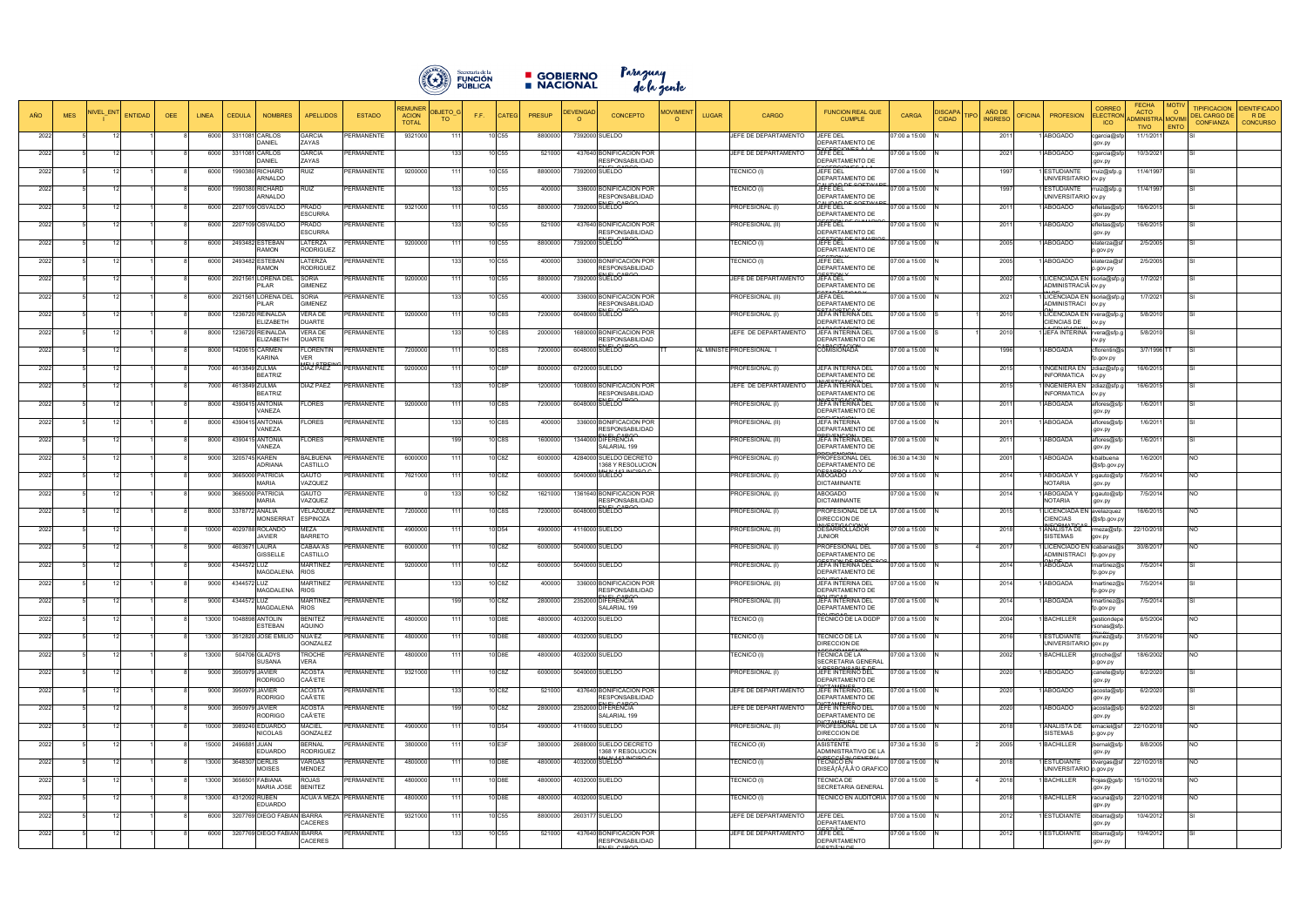

**B** GOBIERNO Paraguay<br>B NACIONAL de la gente

| AÑO          | <b>MES</b> | IIVEL EN | <b>ENTIDAD</b><br><b>OEE</b> | <b>CEDULA</b><br><b>LINEA</b> | <b>NOMBRES</b>                              | <b>APELLIDOS</b>                          | <b>ESTADO</b>                 | REMUNEI<br><b>ACION</b><br><b>TOTAL</b> | <b>DBJETO</b><br>F.F.<br>TO | CATEC              | <b>PRESUP</b>      | DEVENGAD | <b>CONCEPTO</b>                                      | <b>JOVIMIENT</b><br>$\Omega$ | <b>UGAR</b> | CARGO                           | <b>FUNCION REAL QUE</b><br><b>CUMPLE</b>                             | CARGA                          | <b>ISCAP/</b><br><b>CIDAD</b> | AÑO DE<br><b>INGRESO</b> | <b>PEICINA</b><br><b>PROFESION</b>                     | <b>CORREC</b><br><b>ELECTRO</b><br><b>ICO</b> | <b>FECHA</b><br><b>ACTO</b><br><b>IDMINISTRA MOVIM</b><br><b>TIVO</b> | <b>TIPIFICACION</b><br>$\Omega$<br><b>DEL CARGO D</b><br><b>CONFIANZA</b><br>ENTC | <b>DENTIFICADO</b><br>R DE<br><b>CONCURSO</b> |
|--------------|------------|----------|------------------------------|-------------------------------|---------------------------------------------|-------------------------------------------|-------------------------------|-----------------------------------------|-----------------------------|--------------------|--------------------|----------|------------------------------------------------------|------------------------------|-------------|---------------------------------|----------------------------------------------------------------------|--------------------------------|-------------------------------|--------------------------|--------------------------------------------------------|-----------------------------------------------|-----------------------------------------------------------------------|-----------------------------------------------------------------------------------|-----------------------------------------------|
| 2022         |            |          |                              | 6000                          | 3311081 CARLOS<br><b>DANIEL</b>             | GARCIA<br>ZAYAS                           | PERMANENTE                    | 9321000                                 | 11'                         | 10 C55             | 8800000            |          | 7392000 SUELDO                                       |                              |             | JEFE DE DEPARTAMENTO            | JEFE DEL<br>DEPARTAMENTO DE                                          | 7:00 a 15:00                   |                               | 2011                     | ABOGADO                                                | cgarcia@s<br>.gov.py                          | 11/1/2011                                                             |                                                                                   |                                               |
| 2022         |            |          |                              | 6000                          | 3311081 CARLOS<br>DANIEL                    | GARCIA<br>ZAYAS                           | PERMANENTE                    |                                         |                             | 10 C55             | 521000             |          | 437640 BONIFICACION POR<br><b>RESPONSABILIDAD</b>    |                              |             | JEFE DE DEPARTAMENTO            | <b>OF DOIC</b><br>JEFE DEL<br>DEPARTAMENTO DE                        | 7:00 a 15:00                   |                               | 2021                     | <b>ABOGADO</b>                                         | cgarcia@sf<br>.gov.py                         | 10/3/2021                                                             |                                                                                   |                                               |
| 2022         |            |          |                              | 6000                          | 1990380 RICHARD<br>ARNALDO                  | RUIZ                                      | PERMANENTE                    | 9200000                                 |                             | 10 C55             | 8800000            |          | 7392000 SUELDO                                       |                              |             | TECNICO (I)                     | JEFE DEL<br>DEPARTAMENTO DE                                          | 07:00 a 15:00                  |                               | 1997                     | <b>ESTUDIANTE</b><br>JNIVERSITARIO ov.py               | rruiz@sfp.g                                   | 11/4/1997                                                             |                                                                                   |                                               |
| 2022         |            |          |                              | 6000                          | 1990380 RICHARD<br>ARNALDO                  | RUIZ                                      | PERMANENTE                    |                                         |                             | 10 C55             | 40000              |          | 336000 BONIFICACION POR<br><b>RESPONSABILIDAD</b>    |                              |             | <b>FECNICO (I)</b>              | بمممونية<br>JEFE DEL<br>DEPARTAMENTO DE                              | 7:00 a 15:00                   |                               | 1997                     | ESTUDIANTE<br>UNIVERSITARIO ov.py                      | rruiz@sfp.g                                   | 11/4/1997                                                             |                                                                                   |                                               |
| 2022         |            |          |                              | 6000                          | 2207109 OSVALDO                             | PRADO<br><b>ESCURRA</b>                   | PERMANENTE                    | 9321000                                 |                             | 10 C55             | 8800000            |          | 7392000 SUELDO                                       |                              |             | PROFESIONAL (I)                 | JEFE DEL<br>DEPARTAMENTO DE                                          | 7:00 a 15:00                   |                               | 2011                     | ABOGADO                                                | efleitas@sfr<br>.gov.py                       | 16/6/2015                                                             |                                                                                   |                                               |
| 2022         |            |          |                              | 6000                          | 2207109 OSVALDO                             | <b>PRADO</b><br><b>ESCURRA</b>            | PERMANENTE                    |                                         |                             | 10 C55             | 521000             |          | 437640 BONIFICACION POR<br><b>RESPONSABILIDAD</b>    |                              |             | PROFESIONAL (II)                | JEFE DEL<br>DEPARTAMENTO DE                                          | 7:00 a 15:00                   |                               | 2011                     | ABOGADO                                                | efleitas@sfp<br>.gov.py                       | 16/6/2015                                                             |                                                                                   |                                               |
| 2022         |            |          |                              | 6000                          | 2493482 ESTEBAN<br><b>MONA5</b>             | LATERZA<br><b>RODRIGUEZ</b>               | PERMANENTE                    | 9200000                                 | 11'                         | 10 C <sub>55</sub> | 8800000            |          | 7392000 SUELDO                                       |                              |             | TECNICO (I)                     | JEFE DEL<br>DEPARTAMENTO DE                                          | 7:00 a 15:00                   |                               | 2005                     | <b>ABOGADO</b>                                         | elaterza@s<br>o.gov.py                        | 2/5/2005                                                              |                                                                                   |                                               |
| 2022         |            |          |                              | 6000                          | 2493482 ESTEBAN<br><b>AMON</b>              | LATERZA<br>RODRIGUEZ                      | PERMANENTE                    |                                         | 133                         | 10 C55             | 400000             |          | 336000 BONIFICACION POR<br><b>RESPONSABILIDAD</b>    |                              |             | TECNICO (I)                     | JEFE DEL<br>DEPARTAMENTO DE                                          | 7:00 a 15:00                   |                               | 2005                     | ABOGADO                                                | elaterza@st<br>p.gov.py                       | 2/5/2005                                                              |                                                                                   |                                               |
| 2022         |            |          |                              | 6000                          | 2921561 LORENA DEL<br><b>ILAR</b>           | SORIA<br><b>GIMENEZ</b>                   | PERMANENTE                    | 9200000                                 | 111                         | 10 C <sub>55</sub> | 8800000            |          | 7392000 SUELDO                                       |                              |             | JEFE DE DEPARTAMENTO            | JEFA DEL<br>DEPARTAMENTO DE<br>CTADIOTICAC                           | 17:00 a 15:00                  |                               | 2002                     | LICENCIADA EN Isoria@sfp.g<br>ADMINISTRACIÃ ov.py      |                                               | 1/7/2021                                                              |                                                                                   |                                               |
| 2022         |            |          |                              | 2921561<br>6000               | <b>LORENA DEL</b><br><b>ILAR</b>            | SORIA<br>GIMENEZ                          | PERMANENTE                    |                                         |                             | 10 C55             | 40000              |          | 336000 BONIFICACION POR<br>RESPONSABILIDAD           |                              |             | PROFESIONAL (II)                | JEFA DEL<br>DEPARTAMENTO DE                                          | 07:00 a 15:00                  |                               | 2021                     | LICENCIADA EN Isoria@sfp.g<br>ADMINISTRACI             | ov.py                                         | 1/7/2021                                                              |                                                                                   |                                               |
| 2022         |            |          |                              | 8000                          | 1236720 REINALDA<br><b>LIZABETH</b>         | √ERA DE<br><b>DUARTE</b>                  | <b>PERMANENTE</b>             | 9200000                                 |                             | 10 C8S             | 7200000            |          | 6048000 SUELDO                                       |                              |             | PROFESIONAL (I)                 | JEFA INTERINA DEL<br>DEPARTAMENTO DE<br>1010171010                   | 7:00 a 15:00                   |                               | 2010                     | LICENCIADA EN rvera@sfp.g<br>CIENCIAS DE               | ov.py                                         | 5/8/2010                                                              |                                                                                   |                                               |
| 2022         |            |          |                              | 8000                          | 1236720 REINALDA<br><b>LIZABETH</b>         | √ERA DE<br><b>DUARTE</b>                  | PERMANENTE                    |                                         |                             | 10 C8S             | 2000000            |          | 1680000 BONIFICACION POR<br><b>RESPONSABILIDAD</b>   |                              |             | JEFE DE DEPARTAMENTO            | JEFA INTERINA DEL<br>DEPARTAMENTO DE<br><b>ADACITAC</b>              | 07:00 a 15:00                  |                               | 2010                     | JEFA INTERINA rvera@sfp.g                              | ov.py                                         | 5/8/2010                                                              |                                                                                   |                                               |
| 2022         |            |          |                              | 1420615<br>8000               | CARMEN<br><b><i>KARINA</i></b>              | FLORENTIN<br>/ER                          | PERMANENTE                    | 7200000                                 |                             | 10 C8S             | 720000             |          | 6048000 SUELDO                                       |                              |             | AL MINISTE PROFESIONAL          | COMISIONADA                                                          | 7:00 a 15:00                   |                               | 1996                     | <b>ABOGADA</b>                                         | cflorentin@s<br>fp.gov.py                     | 3/7/1996 TT                                                           |                                                                                   |                                               |
| 2022         |            |          |                              | 7000                          | 4613849 ZULMA<br><b>BEATRIZ</b>             | DIAZ PAEZ                                 | <b>ERMANENTE</b>              | 9200000                                 |                             | 10 C8P             | 8000000            |          | 6720000 SUELDO                                       |                              |             | PROFESIONAL (I)                 | JEFA INTERINA DEL<br>DEPARTAMENTO DE                                 | 07:00 a 15:00                  |                               | 2015                     | <b>INGENIERA EN</b><br><b>INFORMATICA</b>              | zdiaz@sfp.g<br>ov.py                          | 16/6/2015                                                             |                                                                                   |                                               |
| 2022         |            |          |                              | 700                           | 4613849 ZULMA<br><b>BEATRIZ</b>             | )IAZ PAEZ                                 | <b>PERMANENTE</b>             |                                         |                             | 10 C8P             | 120000             |          | 1008000 BONIFICACION POR<br>RESPONSABILIDAD          |                              |             | JEFE DE DEPARTAMENTO            | <b>JEFA INTERINA DEL</b><br>DEPARTAMENTO DE                          | 7:00 a 15:00                   |                               | 2015                     | INGENIERA EN<br>INFORMATICA                            | zdiaz@sfp.g<br>ov.py                          | 16/6/2015                                                             |                                                                                   |                                               |
| 2022         |            |          |                              | 8000                          | 4390415 ANTONIA<br>/ANEZA                   | FLORES                                    | PERMANENTE                    | 9200000                                 | 111                         | 10 C8S             | 7200000            |          | 6048000 SUELDO                                       |                              |             | PROFESIONAL (I)                 | JEFA INTERINA DEL<br>DEPARTAMENTO DE<br><b>DEVENOIO</b>              | 07:00 a 15:00                  |                               | 2011                     | ABOGADA                                                | aflores@sfp<br>.gov.py                        | 1/6/2011                                                              |                                                                                   |                                               |
| 2022         |            |          |                              | 8000                          | 4390415 ANTONIA<br>'ANEZA                   | FLORES                                    | <b>PERMANENTE</b>             |                                         | 133                         | 10 C8S             | 400000             |          | 336000 BONIFICACION POR<br><b>ESPONSABILIDAD</b>     |                              |             | PROFESIONAL (II)                | <b>JEFA INTERINA</b><br>DEPARTAMENTO DE                              | 07:00 a 15:00                  |                               | 2011                     | <b>ABOGADA</b>                                         | aflores@sfp<br>.gov.py                        | 1/6/2011                                                              |                                                                                   |                                               |
| 2022         |            |          |                              | 8000                          | 4390415 ANTONIA<br>'ANEZA                   | FLORES                                    | PERMANENTE                    |                                         | 1 Q C                       | 10 C8S             | 1600000            |          | 1344000 DIFERENCIA<br>SALARIAL 199                   |                              |             | PROFESIONAL (II)                | JEFA INTERINA DEL<br>DEPARTAMENTO DE<br><b>DEVENOION</b>             | 17:00 a 15:00                  |                               | 2011                     | ABOGADA                                                | aflores@sfp<br>.gov.py                        | 1/6/2011                                                              |                                                                                   |                                               |
| 2022         |            |          |                              | 9000                          | 3205745 KAREN<br>ADRIANA                    | <b>BALBUENA</b><br>CASTILLO               | PERMANENTE                    | 6000000                                 | 111                         | 10 C8Z             | 6000000            |          | 4284000 SUELDO DECRETO<br>368 Y RESOLUCION           |                              |             | PROFESIONAL (I)                 | PROFESIONAL DEL<br>DEPARTAMENTO DE<br>0.0001                         | 06:30 a 14:30                  |                               | 2001                     | ABOGADA                                                | kbalbuena<br>@sfp.gov.p                       | 1/6/2001                                                              | NO.                                                                               |                                               |
| 2022         |            |          |                              | 9000                          | 3665000 PATRICIA<br>MARIA                   | GAUTO<br><b>VAZQUEZ</b>                   | PERMANENTE                    | 7621000                                 | $-11$                       | 10 C8Z             | 6000000            |          | 5040000 SUELDO                                       |                              |             | PROFESIONAL (I)                 | ABOGADO<br><b>DICTAMINANTE</b>                                       | 07:00 a 15:00                  |                               | 2014                     | ABOGADA Y<br>NOTARIA                                   | pgauto@sfp<br>.gov.py                         | 7/5/2014                                                              | <b>NO</b>                                                                         |                                               |
| 2022         |            |          |                              | 9000                          | 3665000 PATRICIA<br>MARIA                   | GAUTO<br><b>VAZQUEZ</b>                   | PERMANENTE                    |                                         |                             | 10 C8Z             | 1621000            |          | 1361640 BONIFICACION POR<br><b>RESPONSABILIDAD</b>   |                              |             | PROFESIONAL (I)                 | ABOGADO<br><b>DICTAMINANTE</b>                                       | 07:00 a 15:00                  |                               | 2014                     | <b>ABOGADA</b> Y<br>NOTARIA                            | pgauto@sfp<br>.gov.py                         | 7/5/2014                                                              | <b>NO</b>                                                                         |                                               |
| 2022         |            |          |                              | 8000                          | 3378772 ANALIA<br><b>MONSERRAT</b>          | VELAZQUEZ<br><b>ESPINOZA</b>              | PERMANENTE                    | 7200000                                 |                             | 10 C8S             | 7200000            |          | 6048000 SUELDO                                       |                              |             | PROFESIONAL (I)                 | PROFESIONAL DE LA<br>DIRECCION DE<br><b>ILIFOTICACION</b>            | 07:00 a 15:00                  |                               | 2015                     | ICENCIADA EN avelazquez<br>CIENCIAS<br><b>CODMATIC</b> | @sfp.gov.p                                    | 16/6/2015                                                             | <b>NO</b>                                                                         |                                               |
| 2022         |            |          |                              | 10000                         | 4029788 ROLANDO<br>AVIER                    | MEZA<br><b>BARRETO</b>                    | PERMANENTE                    | 4900000                                 |                             | 10 D <sub>54</sub> | 4900000            |          | 4116000 SUELDO                                       |                              |             | PROFESIONAL (II)                | DESARROLLADOR<br>JUNIOR                                              | 07:00 a 15:00                  |                               | 2018                     | <b>ANALISTA DE</b><br><b>SISTEMAS</b>                  | rmeza@sfp<br>gov.py                           | 22/10/2018                                                            | <b>NO</b>                                                                         |                                               |
| 2022         |            |          |                              | 4603671<br>9000               | <b>AURA</b><br><b>SISSELLE</b>              | CABA'AS<br>CASTILLO                       | PERMANENTE                    | 6000000                                 | 111                         | 10 C8Z             | 6000000            |          | 5040000 SUELDO                                       |                              |             | PROFESIONAL (I)                 | PROFESIONAL DEL<br>DEPARTAMENTO DE<br><b>ESTION BE BROCES</b>        | 07:00 a 15:00                  |                               | 2017                     | LICENCIADO EN Icabanas@s<br>ADMINISTRACI               | fp.gov.py                                     | 30/8/2017                                                             | <b>NO</b>                                                                         |                                               |
| 2022         |            |          |                              | 9000                          | 4344572 LUZ<br>MAGDALENA                    | MARTINEZ<br><b>RIOS</b>                   | PERMANENTE                    | 9200000                                 |                             | 10 C8Z             | 6000000            |          | 5040000 SUELDO                                       |                              |             | PROFESIONAL (I)                 | JEFA INTERINA DEL<br>DEPARTAMENTO DE                                 | 07:00 a 15:00                  |                               | 2014                     | ABOGADA                                                | lmartinez@s<br>p.gov.py                       | 7/5/2014                                                              |                                                                                   |                                               |
| 2022         |            |          | 121                          | 9000                          | 4344572 LUZ<br>MAGDALENA RIOS               | <b>MARTINEZ</b>                           | PERMANENTE                    |                                         | 1331<br>199                 | 10 C8Z             | 400000             |          | 336000 BONIFICACION POR<br><b>RESPONSABILIDAD</b>    |                              |             | PROFESIONAL (II)                | JEFA INTERINA DEL<br>DEPARTAMENTO DE                                 | 07:00 a 15:00                  |                               | 2014                     | 1 ABOGADA                                              | Imartinez@s<br>fp.gov.py                      | 7/5/2014                                                              | SI                                                                                |                                               |
| 2022         |            |          |                              | 9000<br>13000                 | 4344572 LUZ<br>MAGDALENA<br>1048898 ANTOLIN | MARTINEZ<br><b>RIOS</b><br><b>BENITEZ</b> | PERMANENTE<br>PERMANENTE      | 4800000                                 | -111                        | 10 C8Z<br>10 D8E   | 2800000<br>4800000 |          | 2352000 DIFERENCIA<br>SALARIAL 199<br>4032000 SUELDO |                              |             | PROFESIONAL (II)<br>TECNICO (I) | JEFA INTERINA DEL<br>DEPARTAMENTO DE<br>TECNICO DE LA DGDP           | 07:00 a 15:00<br>07:00 a 15:00 |                               | 2014<br>2004             | ABOGADA<br><b>BACHILLER</b>                            | Imartinez@s<br>fp.gov.py                      | 7/5/2014<br>6/5/2004                                                  | <b>NO</b>                                                                         |                                               |
| 2022         |            |          |                              |                               | :STEBAN                                     | <b>OUINO</b>                              |                               |                                         | -111                        |                    |                    |          |                                                      |                              |             |                                 |                                                                      |                                |                               |                          |                                                        | gestiondepe<br>rsonas@sfp                     |                                                                       |                                                                                   |                                               |
| 2022<br>2022 |            |          |                              | 13000<br>13000                | 3512820 JOSE EMILIO<br>504706 GLADYS        | NUÃ'EZ<br>GONZALEZ<br><b>ROCHE</b>        | PERMANENTE<br>PERMANENTE      | 4800000<br>4800000                      |                             | 10 D8E<br>10 D8E   | 4800000<br>4800000 |          | 4032000 SUELDO<br>4032000 SUELDO                     |                              |             | TECNICO (I)<br>(I) FECNICO      | ECNICO DE LA<br>DIRECCION DE<br>TECNICA DE LA                        | 7:00 a 15:00<br>7:00 a 13:00   |                               | 2016<br>2002             | ESTUDIANTE<br>JNIVERSITARIO gov.py<br><b>BACHILLER</b> | jnunez@sfp<br>gtroche@sf                      | 31/5/2016<br>18/6/2002                                                | <b>NO</b><br>NO.                                                                  |                                               |
| 2022         |            |          |                              | 9000                          | <b>SUSANA</b><br>3950979 JAVIER             | VERA<br>ACOSTA                            | PERMANENTE                    | 9321000                                 | 11'                         | 10 C8Z             | 6000000            |          | 5040000 SUELDO                                       |                              |             | <b>PROFESIONAL (I)</b>          | SECRETARIA GENERAL<br>JEFE INTERINO DEL                              | 7:00 a 15:00                   |                               | 2020                     | ABOGADO                                                | p.gov.py                                      | 6/2/2020                                                              |                                                                                   |                                               |
| 2022         |            |          |                              | 9000                          | RODRIGO<br>3950979 JAVIER                   | CAÑETE<br><b>ACOSTA</b>                   | <b>PERMANENTE</b>             |                                         |                             | 10 C8Z             | 521000             |          | 437640 BONIFICACION POR                              |                              |             | JEFE DE DEPARTAMENTO            | DEPARTAMENTO DE<br><b>ICTAMENES</b><br>JEFE INTERINO DEL             | 07:00 a 15:00                  |                               | 2020                     | ABOGADO                                                | jcanete@sfp<br>.gov.py<br>jacosta@sf          | 6/2/2020                                                              |                                                                                   |                                               |
| 2022         |            |          |                              | 9000                          | RODRIGO<br>3950979 JAVIER                   | CAÑETE<br><b>ACOSTA</b>                   | PERMANENTE                    |                                         | 1 <sub>Q</sub>              | 10 C8Z             | 2800000            |          | <b>RESPONSABILIDAD</b><br>2352000 DIFERENCIA         |                              |             | JEFE DE DEPARTAMENTO            | DEPARTAMENTO DE<br>JEFE INTERINO DEL                                 | 7:00 a 15:00                   |                               | 2020                     | ABOGADO                                                | .gov.py<br>jacosta@sfp                        | 6/2/2020                                                              |                                                                                   |                                               |
| 2022         |            |          |                              | 10000                         | RODRIGO<br>3989240 EDUARDO                  | CAÑETE<br>MACIEL                          | PERMANENTE                    | 4900000                                 | 111                         | 10 D <sub>54</sub> | 4900000            |          | SALARIAL 199<br>4116000 SUELDO                       |                              |             | PROFESIONAL (II)                | DEPARTAMENTO DE<br><b>ICTAMENEO</b><br>PROFESIONAL DE LA             | 07:00 a 15:00                  |                               | 2018                     | ANALISTA DE                                            | .gov.py<br>emaciel@sf                         | 22/10/2018                                                            | <b>NO</b>                                                                         |                                               |
| 2022         |            |          |                              | 15000                         | <b>VICOLAS</b><br>2496881 JUAN              | GONZALEZ<br><b>BERNAL</b>                 | PERMANENTE                    | 3800000                                 | 111                         | 10 E3F             | 3800000            |          | 2688000 SUELDO DECRETO                               |                              |             | TECNICO (II)                    | DIRECCION DE<br><b>ASISTENTE</b>                                     | 07:30 a 15:30                  |                               | 2005                     | <b>ISTEMAS</b><br><b>BACHILLER</b>                     | p.gov.py<br>jbernal@sfp                       | 8/8/2005                                                              | <b>NO</b>                                                                         |                                               |
| 2022         |            | -12      |                              | 13000                         | EDUARDO<br>3648307 DERLIS                   | RODRIGUEZ<br>VARGAS                       | PERMANENTE                    | 4800000                                 | 111                         | 10 D8E             | 4800000            |          | 368 Y RESOLUCION<br>4032000 SUELDO                   |                              |             | <b>FECNICO (I)</b>              | ADMINISTRATIVO DE LA<br><b>DECCLÃ<sup>IN</sup>LOEI</b><br>TECNICO EN | 7:00 a 15:00                   |                               | 2018                     | <b>ESTUDIANTE</b>                                      | .gov.py<br>dvargas@st                         | 22/10/2018                                                            | <b>NO</b>                                                                         |                                               |
| 2022         |            |          |                              | 13000                         | MOISES<br>3656501 FABIANA                   | MENDEZ<br>ROJAS                           | PERMANENTE                    | 4800000                                 |                             | 10 D8E             | 4800000            |          | 4032000 SUELDO                                       |                              |             | (I) FECNICO                     | DISEà f fÃ,  O GRAFICO<br><b>TECNICA DE</b>                          | 7:00 a 15:00                   |                               | 2018                     | JNIVERSITARIO p.gov.py<br><b>BACHILLER</b>             | frojas@gsfp                                   | 15/10/2018                                                            | <b>NO</b>                                                                         |                                               |
| 2022         |            |          |                              | 13000                         | <b>MARIA JOSE</b><br>4312092 RUBEN          | <b>BENITEZ</b>                            | <b>ACUĀ'A MEZA PERMANENTE</b> | 4800000                                 | $-11'$                      | 10 D8E             | 4800000            |          | 4032000 SUELDO                                       |                              |             | (I) FECNICO                     | SECRETARIA GENERAL<br>ECNICO EN AUDITORIA 07:00 a 15:00              |                                |                               | 2018                     | BACHILLER                                              | .gov.py<br>racuna@sfp                         | 22/10/2018                                                            | <b>NO</b>                                                                         |                                               |
| 2022         |            |          |                              | 6000                          | EDUARDO<br>3207769 DIEGO FABIAN IBARRA      |                                           | PERMANENTE                    | 9321000                                 |                             | 10 C55             | 8800000            |          | 2603177 SUELDO                                       |                              |             | JEFE DE DEPARTAMENTO            | JEFE DEL                                                             | 07:00 a 15:00                  |                               | 2012                     | <b>ESTUDIANTE</b>                                      | .gpv.py<br>dibarra@sfp                        | 10/4/2012                                                             |                                                                                   |                                               |
| 2022         |            |          |                              | 6000                          | 3207769 DIEGO FABIAN IBARRA                 | CACERES                                   | PERMANENTE                    |                                         |                             | 10 C55             | 521000             |          | 437640 BONIFICACION POR                              |                              |             | JEFE DE DEPARTAMENTO            | DEPARTAMENTO<br>$CTI\bar{A}$ is a line<br>JEFE DEL                   | 7:00 a 15:00                   |                               | 2012                     | ESTUDIANTE                                             | .gov.py<br>dibarra@sfp                        | 10/4/2012                                                             |                                                                                   |                                               |
|              |            |          |                              |                               |                                             | CACERES                                   |                               |                                         |                             |                    |                    |          | <b>RESPONSABILIDAD</b><br>$N1$ $\sim$ $\sim$ $\sim$  |                              |             |                                 | DEPARTAMENTO<br><b>COTIÃEN DE</b>                                    |                                |                               |                          |                                                        | .gov.py                                       |                                                                       |                                                                                   |                                               |